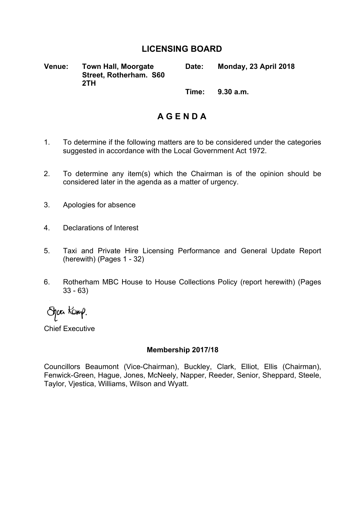## **LICENSING BOARD**

**Venue: Town Hall, Moorgate Street, Rotherham. S60 2TH Date: Monday, 23 April 2018**

**Time: 9.30 a.m.**

## **A G E N D A**

- 1. To determine if the following matters are to be considered under the categories suggested in accordance with the Local Government Act 1972.
- 2. To determine any item(s) which the Chairman is of the opinion should be considered later in the agenda as a matter of urgency.
- 3. Apologies for absence
- 4. Declarations of Interest
- 5. Taxi and Private Hire Licensing Performance and General Update Report (herewith) (Pages 1 - 32)
- 6. Rotherham MBC House to House Collections Policy (report herewith) (Pages 33 - 63)

Spaa Kamp.

Chief Executive

#### **Membership 2017/18**

Councillors Beaumont (Vice-Chairman), Buckley, Clark, Elliot, Ellis (Chairman), Fenwick-Green, Hague, Jones, McNeely, Napper, Reeder, Senior, Sheppard, Steele, Taylor, Vjestica, Williams, Wilson and Wyatt.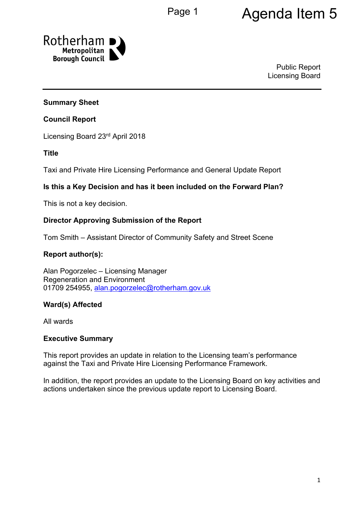# Page 1 **Agenda Item 5**



Public Report Licensing Board

#### **Summary Sheet**

#### **Council Report**

Licensing Board 23rd April 2018

#### **Title**

Taxi and Private Hire Licensing Performance and General Update Report

#### **Is this a Key Decision and has it been included on the Forward Plan?**

This is not a key decision.

#### **Director Approving Submission of the Report**

Tom Smith – Assistant Director of Community Safety and Street Scene

#### **Report author(s):**

Alan Pogorzelec – Licensing Manager Regeneration and Environment 01709 254955, [alan.pogorzelec@rotherham.gov.uk](mailto:alan.pogorzelec@rotherham.gov.uk)

#### **Ward(s) Affected**

All wards

#### **Executive Summary**

This report provides an update in relation to the Licensing team's performance against the Taxi and Private Hire Licensing Performance Framework.

In addition, the report provides an update to the Licensing Board on key activities and actions undertaken since the previous update report to Licensing Board.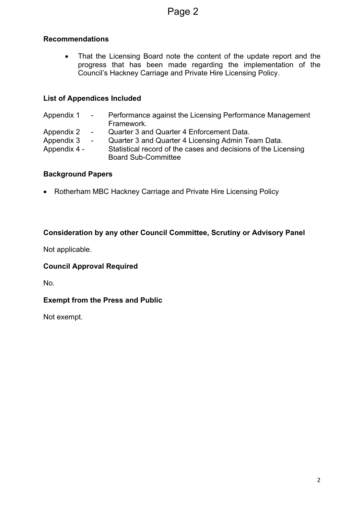#### **Recommendations**

• That the Licensing Board note the content of the update report and the progress that has been made regarding the implementation of the Council's Hackney Carriage and Private Hire Licensing Policy.

## **List of Appendices Included**

| Appendix 1 -                             |                  | Performance against the Licensing Performance Management<br>Framework.                                                                                                                          |
|------------------------------------------|------------------|-------------------------------------------------------------------------------------------------------------------------------------------------------------------------------------------------|
| Appendix 2<br>Appendix 3<br>Appendix 4 - | $\sim$<br>$\sim$ | Quarter 3 and Quarter 4 Enforcement Data.<br>Quarter 3 and Quarter 4 Licensing Admin Team Data.<br>Statistical record of the cases and decisions of the Licensing<br><b>Board Sub-Committee</b> |

#### **Background Papers**

Rotherham MBC Hackney Carriage and Private Hire Licensing Policy

## **Consideration by any other Council Committee, Scrutiny or Advisory Panel**

Not applicable.

#### **Council Approval Required**

No.

#### **Exempt from the Press and Public**

Not exempt.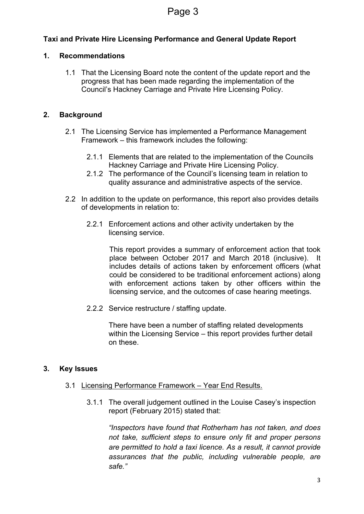## **Taxi and Private Hire Licensing Performance and General Update Report**

#### **1. Recommendations**

1.1 That the Licensing Board note the content of the update report and the progress that has been made regarding the implementation of the Council's Hackney Carriage and Private Hire Licensing Policy.

#### **2. Background**

- 2.1 The Licensing Service has implemented a Performance Management Framework – this framework includes the following:
	- 2.1.1 Elements that are related to the implementation of the Councils Hackney Carriage and Private Hire Licensing Policy.
	- 2.1.2 The performance of the Council's licensing team in relation to quality assurance and administrative aspects of the service.
- 2.2 In addition to the update on performance, this report also provides details of developments in relation to:
	- 2.2.1 Enforcement actions and other activity undertaken by the licensing service.

This report provides a summary of enforcement action that took place between October 2017 and March 2018 (inclusive). It includes details of actions taken by enforcement officers (what could be considered to be traditional enforcement actions) along with enforcement actions taken by other officers within the licensing service, and the outcomes of case hearing meetings.

2.2.2 Service restructure / staffing update.

There have been a number of staffing related developments within the Licensing Service – this report provides further detail on these.

#### **3. Key Issues**

- 3.1 Licensing Performance Framework Year End Results.
	- 3.1.1 The overall judgement outlined in the Louise Casey's inspection report (February 2015) stated that:

*"Inspectors have found that Rotherham has not taken, and does not take, sufficient steps to ensure only fit and proper persons are permitted to hold a taxi licence. As a result, it cannot provide assurances that the public, including vulnerable people, are safe."*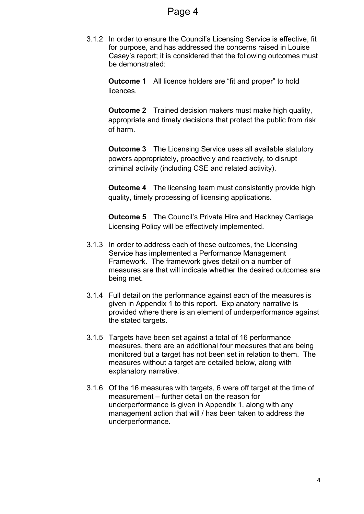3.1.2 In order to ensure the Council's Licensing Service is effective, fit for purpose, and has addressed the concerns raised in Louise Casey's report; it is considered that the following outcomes must be demonstrated:

**Outcome 1** All licence holders are "fit and proper" to hold licences.

**Outcome 2** Trained decision makers must make high quality, appropriate and timely decisions that protect the public from risk of harm.

**Outcome 3** The Licensing Service uses all available statutory powers appropriately, proactively and reactively, to disrupt criminal activity (including CSE and related activity).

**Outcome 4** The licensing team must consistently provide high quality, timely processing of licensing applications.

**Outcome 5** The Council's Private Hire and Hackney Carriage Licensing Policy will be effectively implemented.

- 3.1.3 In order to address each of these outcomes, the Licensing Service has implemented a Performance Management Framework. The framework gives detail on a number of measures are that will indicate whether the desired outcomes are being met.
- 3.1.4 Full detail on the performance against each of the measures is given in Appendix 1 to this report. Explanatory narrative is provided where there is an element of underperformance against the stated targets.
- 3.1.5 Targets have been set against a total of 16 performance measures, there are an additional four measures that are being monitored but a target has not been set in relation to them. The measures without a target are detailed below, along with explanatory narrative.
- 3.1.6 Of the 16 measures with targets, 6 were off target at the time of measurement – further detail on the reason for underperformance is given in Appendix 1, along with any management action that will / has been taken to address the underperformance.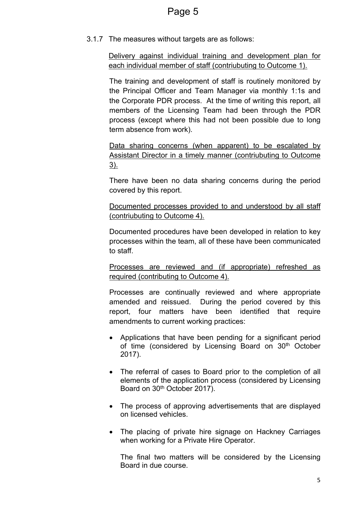3.1.7 The measures without targets are as follows:

Delivery against individual training and development plan for each individual member of staff (contriubuting to Outcome 1).

The training and development of staff is routinely monitored by the Principal Officer and Team Manager via monthly 1:1s and the Corporate PDR process. At the time of writing this report, all members of the Licensing Team had been through the PDR process (except where this had not been possible due to long term absence from work).

Data sharing concerns (when apparent) to be escalated by Assistant Director in a timely manner (contriubuting to Outcome 3).

There have been no data sharing concerns during the period covered by this report.

Documented processes provided to and understood by all staff (contriubuting to Outcome 4).

Documented procedures have been developed in relation to key processes within the team, all of these have been communicated to staff.

Processes are reviewed and (if appropriate) refreshed as required (contributing to Outcome 4).

Processes are continually reviewed and where appropriate amended and reissued. During the period covered by this report, four matters have been identified that require amendments to current working practices:

- Applications that have been pending for a significant period of time (considered by Licensing Board on 30<sup>th</sup> October 2017).
- The referral of cases to Board prior to the completion of all elements of the application process (considered by Licensing Board on 30<sup>th</sup> October 2017).
- The process of approving advertisements that are displayed on licensed vehicles.
- The placing of private hire signage on Hackney Carriages when working for a Private Hire Operator.

The final two matters will be considered by the Licensing Board in due course.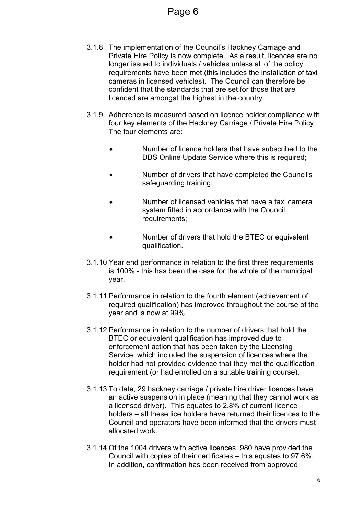- 3.1.8 The implementation of the Council's Hackney Carriage and Private Hire Policy is now complete. As a result, licences are no longer issued to individuals / vehicles unless all of the policy requirements have been met (this includes the installation of taxi cameras in licensed vehicles). The Council can therefore be confident that the standards that are set for those that are licenced are amongst the highest in the country.
- 3.1.9 Adherence is measured based on licence holder compliance with four key elements of the Hackney Carriage / Private Hire Policy. The four elements are:
	- Number of licence holders that have subscribed to the DBS Online Update Service where this is required:
	- Number of drivers that have completed the Council's safeguarding training;
	- Number of licensed vehicles that have a taxi camera system fitted in accordance with the Council requirements;
	- Number of drivers that hold the BTEC or equivalent qualification.
- 3.1.10 Year end performance in relation to the first three requirements is 100% - this has been the case for the whole of the municipal year.
- 3.1.11 Performance in relation to the fourth element (achievement of required qualification) has improved throughout the course of the year and is now at 99%.
- 3.1.12 Performance in relation to the number of drivers that hold the BTEC or equivalent qualification has improved due to enforcement action that has been taken by the Licensing Service, which included the suspension of licences where the holder had not provided evidence that they met the qualification requirement (or had enrolled on a suitable training course).
- 3.1.13 To date, 29 hackney carriage / private hire driver licences have an active suspension in place (meaning that they cannot work as a licensed driver). This equates to 2.8% of current licence holders – all these lice holders have returned their licences to the Council and operators have been informed that the drivers must allocated work.
- 3.1.14 Of the 1004 drivers with active licences, 980 have provided the Council with copies of their certificates – this equates to 97.6%. In addition, confirmation has been received from approved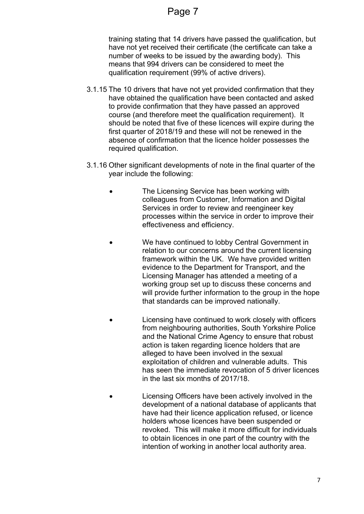## Page 7

training stating that 14 drivers have passed the qualification, but have not yet received their certificate (the certificate can take a number of weeks to be issued by the awarding body). This means that 994 drivers can be considered to meet the qualification requirement (99% of active drivers).

- 3.1.15 The 10 drivers that have not yet provided confirmation that they have obtained the qualification have been contacted and asked to provide confirmation that they have passed an approved course (and therefore meet the qualification requirement). It should be noted that five of these licences will expire during the first quarter of 2018/19 and these will not be renewed in the absence of confirmation that the licence holder possesses the required qualification.
- 3.1.16 Other significant developments of note in the final quarter of the year include the following:
	- The Licensing Service has been working with colleagues from Customer, Information and Digital Services in order to review and reengineer key processes within the service in order to improve their effectiveness and efficiency.
	- We have continued to lobby Central Government in relation to our concerns around the current licensing framework within the UK. We have provided written evidence to the Department for Transport, and the Licensing Manager has attended a meeting of a working group set up to discuss these concerns and will provide further information to the group in the hope that standards can be improved nationally.
	- Licensing have continued to work closely with officers from neighbouring authorities, South Yorkshire Police and the National Crime Agency to ensure that robust action is taken regarding licence holders that are alleged to have been involved in the sexual exploitation of children and vulnerable adults. This has seen the immediate revocation of 5 driver licences in the last six months of 2017/18.
	- Licensing Officers have been actively involved in the development of a national database of applicants that have had their licence application refused, or licence holders whose licences have been suspended or revoked. This will make it more difficult for individuals to obtain licences in one part of the country with the intention of working in another local authority area.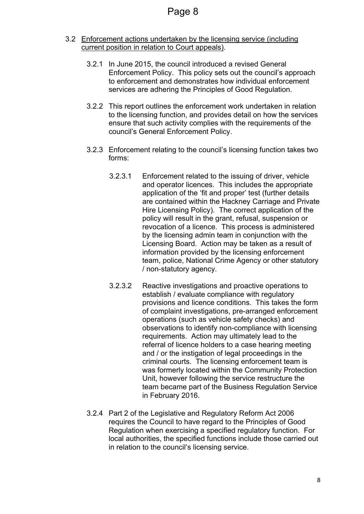- 3.2 Enforcement actions undertaken by the licensing service (including current position in relation to Court appeals).
	- 3.2.1 In June 2015, the council introduced a revised General Enforcement Policy. This policy sets out the council's approach to enforcement and demonstrates how individual enforcement services are adhering the Principles of Good Regulation.
	- 3.2.2 This report outlines the enforcement work undertaken in relation to the licensing function, and provides detail on how the services ensure that such activity complies with the requirements of the council's General Enforcement Policy.
	- 3.2.3 Enforcement relating to the council's licensing function takes two forms:
		- 3.2.3.1 Enforcement related to the issuing of driver, vehicle and operator licences. This includes the appropriate application of the 'fit and proper' test (further details are contained within the Hackney Carriage and Private Hire Licensing Policy). The correct application of the policy will result in the grant, refusal, suspension or revocation of a licence. This process is administered by the licensing admin team in conjunction with the Licensing Board. Action may be taken as a result of information provided by the licensing enforcement team, police, National Crime Agency or other statutory / non-statutory agency.
		- 3.2.3.2 Reactive investigations and proactive operations to establish / evaluate compliance with regulatory provisions and licence conditions. This takes the form of complaint investigations, pre-arranged enforcement operations (such as vehicle safety checks) and observations to identify non-compliance with licensing requirements. Action may ultimately lead to the referral of licence holders to a case hearing meeting and / or the instigation of legal proceedings in the criminal courts. The licensing enforcement team is was formerly located within the Community Protection Unit, however following the service restructure the team became part of the Business Regulation Service in February 2016.
	- 3.2.4 Part 2 of the Legislative and Regulatory Reform Act 2006 requires the Council to have regard to the Principles of Good Regulation when exercising a specified regulatory function. For local authorities, the specified functions include those carried out in relation to the council's licensing service.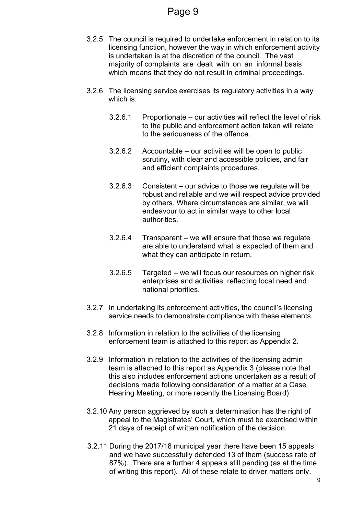- 3.2.5 The council is required to undertake enforcement in relation to its licensing function, however the way in which enforcement activity is undertaken is at the discretion of the council. The vast majority of complaints are dealt with on an informal basis which means that they do not result in criminal proceedings.
- 3.2.6 The licensing service exercises its regulatory activities in a way which is:
	- 3.2.6.1 Proportionate our activities will reflect the level of risk to the public and enforcement action taken will relate to the seriousness of the offence.
	- 3.2.6.2 Accountable our activities will be open to public scrutiny, with clear and accessible policies, and fair and efficient complaints procedures.
	- 3.2.6.3 Consistent our advice to those we regulate will be robust and reliable and we will respect advice provided by others. Where circumstances are similar, we will endeavour to act in similar ways to other local authorities.
	- 3.2.6.4 Transparent we will ensure that those we regulate are able to understand what is expected of them and what they can anticipate in return.
	- 3.2.6.5 Targeted we will focus our resources on higher risk enterprises and activities, reflecting local need and national priorities.
- 3.2.7 In undertaking its enforcement activities, the council's licensing service needs to demonstrate compliance with these elements.
- 3.2.8 Information in relation to the activities of the licensing enforcement team is attached to this report as Appendix 2.
- 3.2.9 Information in relation to the activities of the licensing admin team is attached to this report as Appendix 3 (please note that this also includes enforcement actions undertaken as a result of decisions made following consideration of a matter at a Case Hearing Meeting, or more recently the Licensing Board).
- 3.2.10 Any person aggrieved by such a determination has the right of appeal to the Magistrates' Court, which must be exercised within 21 days of receipt of written notification of the decision.
- 3.2.11 During the 2017/18 municipal year there have been 15 appeals and we have successfully defended 13 of them (success rate of 87%). There are a further 4 appeals still pending (as at the time of writing this report). All of these relate to driver matters only.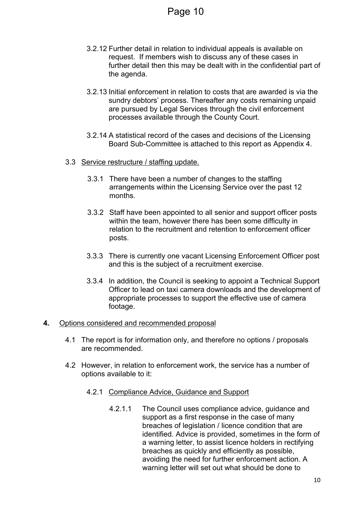- 3.2.12 Further detail in relation to individual appeals is available on request. If members wish to discuss any of these cases in further detail then this may be dealt with in the confidential part of the agenda.
- 3.2.13 Initial enforcement in relation to costs that are awarded is via the sundry debtors' process. Thereafter any costs remaining unpaid are pursued by Legal Services through the civil enforcement processes available through the County Court.
- 3.2.14 A statistical record of the cases and decisions of the Licensing Board Sub-Committee is attached to this report as Appendix 4.
- 3.3 Service restructure / staffing update.
	- 3.3.1 There have been a number of changes to the staffing arrangements within the Licensing Service over the past 12 months.
	- 3.3.2 Staff have been appointed to all senior and support officer posts within the team, however there has been some difficulty in relation to the recruitment and retention to enforcement officer posts.
	- 3.3.3 There is currently one vacant Licensing Enforcement Officer post and this is the subject of a recruitment exercise.
	- 3.3.4 In addition, the Council is seeking to appoint a Technical Support Officer to lead on taxi camera downloads and the development of appropriate processes to support the effective use of camera footage.

#### **4.** Options considered and recommended proposal

- 4.1 The report is for information only, and therefore no options / proposals are recommended.
- 4.2 However, in relation to enforcement work, the service has a number of options available to it:
	- 4.2.1 Compliance Advice, Guidance and Support
		- 4.2.1.1 The Council uses compliance advice, guidance and support as a first response in the case of many breaches of legislation / licence condition that are identified. Advice is provided, sometimes in the form of a warning letter, to assist licence holders in rectifying breaches as quickly and efficiently as possible, avoiding the need for further enforcement action. A warning letter will set out what should be done to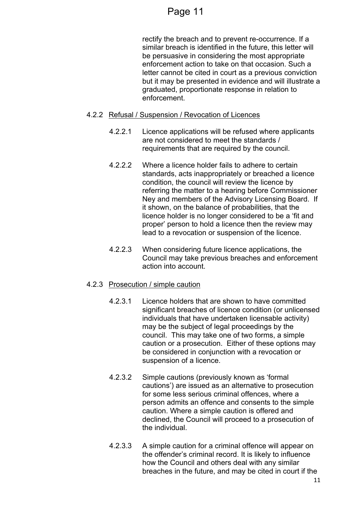## Page 11

rectify the breach and to prevent re-occurrence. If a similar breach is identified in the future, this letter will be persuasive in considering the most appropriate enforcement action to take on that occasion. Such a letter cannot be cited in court as a previous conviction but it may be presented in evidence and will illustrate a graduated, proportionate response in relation to enforcement.

#### 4.2.2 Refusal / Suspension / Revocation of Licences

- 4.2.2.1 Licence applications will be refused where applicants are not considered to meet the standards / requirements that are required by the council.
- 4.2.2.2 Where a licence holder fails to adhere to certain standards, acts inappropriately or breached a licence condition, the council will review the licence by referring the matter to a hearing before Commissioner Ney and members of the Advisory Licensing Board. If it shown, on the balance of probabilities, that the licence holder is no longer considered to be a 'fit and proper' person to hold a licence then the review may lead to a revocation or suspension of the licence.
- 4.2.2.3 When considering future licence applications, the Council may take previous breaches and enforcement action into account.

#### 4.2.3 Prosecution / simple caution

- 4.2.3.1 Licence holders that are shown to have committed significant breaches of licence condition (or unlicensed individuals that have undertaken licensable activity) may be the subject of legal proceedings by the council. This may take one of two forms, a simple caution or a prosecution. Either of these options may be considered in conjunction with a revocation or suspension of a licence.
- 4.2.3.2 Simple cautions (previously known as 'formal cautions') are issued as an alternative to prosecution for some less serious criminal offences, where a person admits an offence and consents to the simple caution. Where a simple caution is offered and declined, the Council will proceed to a prosecution of the individual.
- 4.2.3.3 A simple caution for a criminal offence will appear on the offender's criminal record. It is likely to influence how the Council and others deal with any similar breaches in the future, and may be cited in court if the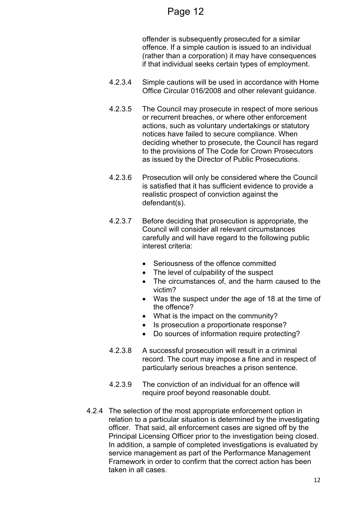## Page 12

offender is subsequently prosecuted for a similar offence. If a simple caution is issued to an individual (rather than a corporation) it may have consequences if that individual seeks certain types of employment.

- 4.2.3.4 Simple cautions will be used in accordance with Home Office Circular 016/2008 and other relevant guidance.
- 4.2.3.5 The Council may prosecute in respect of more serious or recurrent breaches, or where other enforcement actions, such as voluntary undertakings or statutory notices have failed to secure compliance. When deciding whether to prosecute, the Council has regard to the provisions of The Code for Crown [Prosecutors](http://www.cps.gov.uk/publications/code_for_crown_prosecutors) as issued by the Director of Public Prosecutions.
- 4.2.3.6 Prosecution will only be considered where the Council is satisfied that it has sufficient evidence to provide a realistic prospect of conviction against the defendant(s).
- 4.2.3.7 Before deciding that prosecution is appropriate, the Council will consider all relevant circumstances carefully and will have regard to the following public interest criteria:
	- Seriousness of the offence committed
	- The level of culpability of the suspect
	- The circumstances of, and the harm caused to the victim?
	- Was the suspect under the age of 18 at the time of the offence?
	- What is the impact on the community?
	- Is prosecution a proportionate response?
	- Do sources of information require protecting?
- 4.2.3.8 A successful prosecution will result in a criminal record. The court may impose a fine and in respect of particularly serious breaches a prison sentence.
- 4.2.3.9 The conviction of an individual for an offence will require proof beyond reasonable doubt.
- 4.2.4 The selection of the most appropriate enforcement option in relation to a particular situation is determined by the investigating officer. That said, all enforcement cases are signed off by the Principal Licensing Officer prior to the investigation being closed. In addition, a sample of completed investigations is evaluated by service management as part of the Performance Management Framework in order to confirm that the correct action has been taken in all cases.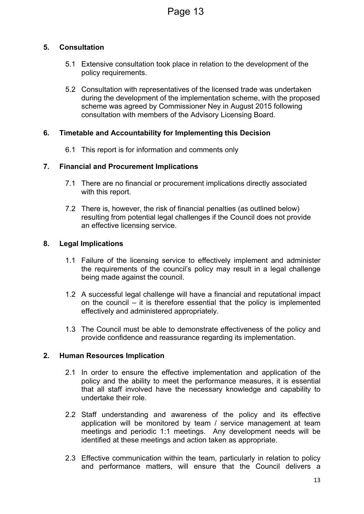#### **5. Consultation**

- 5.1 Extensive consultation took place in relation to the development of the policy requirements.
- 5.2 Consultation with representatives of the licensed trade was undertaken during the development of the implementation scheme, with the proposed scheme was agreed by Commissioner Ney in August 2015 following consultation with members of the Advisory Licensing Board.

#### **6. Timetable and Accountability for Implementing this Decision**

6.1 This report is for information and comments only

#### **7. Financial and Procurement Implications**

- 7.1 There are no financial or procurement implications directly associated with this report.
- 7.2 There is, however, the risk of financial penalties (as outlined below) resulting from potential legal challenges if the Council does not provide an effective licensing service.

#### **8. Legal Implications**

- 1.1 Failure of the licensing service to effectively implement and administer the requirements of the council's policy may result in a legal challenge being made against the council.
- 1.2 A successful legal challenge will have a financial and reputational impact on the council – it is therefore essential that the policy is implemented effectively and administered appropriately.
- 1.3 The Council must be able to demonstrate effectiveness of the policy and provide confidence and reassurance regarding its implementation.

#### **2. Human Resources Implication**

- 2.1 In order to ensure the effective implementation and application of the policy and the ability to meet the performance measures, it is essential that all staff involved have the necessary knowledge and capability to undertake their role.
- 2.2 Staff understanding and awareness of the policy and its effective application will be monitored by team / service management at team meetings and periodic 1:1 meetings. Any development needs will be identified at these meetings and action taken as appropriate.
- 2.3 Effective communication within the team, particularly in relation to policy and performance matters, will ensure that the Council delivers a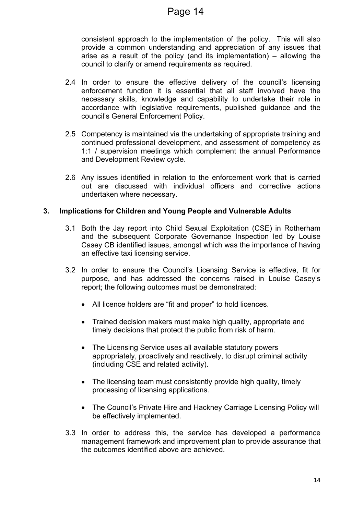consistent approach to the implementation of the policy. This will also provide a common understanding and appreciation of any issues that arise as a result of the policy (and its implementation) – allowing the council to clarify or amend requirements as required.

- 2.4 In order to ensure the effective delivery of the council's licensing enforcement function it is essential that all staff involved have the necessary skills, knowledge and capability to undertake their role in accordance with legislative requirements, published guidance and the council's General Enforcement Policy.
- 2.5 Competency is maintained via the undertaking of appropriate training and continued professional development, and assessment of competency as 1:1 / supervision meetings which complement the annual Performance and Development Review cycle.
- 2.6 Any issues identified in relation to the enforcement work that is carried out are discussed with individual officers and corrective actions undertaken where necessary.

#### **3. Implications for Children and Young People and Vulnerable Adults**

- 3.1 Both the Jay report into Child Sexual Exploitation (CSE) in Rotherham and the subsequent Corporate Governance Inspection led by Louise Casey CB identified issues, amongst which was the importance of having an effective taxi licensing service.
- 3.2 In order to ensure the Council's Licensing Service is effective, fit for purpose, and has addressed the concerns raised in Louise Casey's report; the following outcomes must be demonstrated:
	- All licence holders are "fit and proper" to hold licences.
	- Trained decision makers must make high quality, appropriate and timely decisions that protect the public from risk of harm.
	- The Licensing Service uses all available statutory powers appropriately, proactively and reactively, to disrupt criminal activity (including CSE and related activity).
	- The licensing team must consistently provide high quality, timely processing of licensing applications.
	- The Council's Private Hire and Hackney Carriage Licensing Policy will be effectively implemented.
- 3.3 In order to address this, the service has developed a performance management framework and improvement plan to provide assurance that the outcomes identified above are achieved.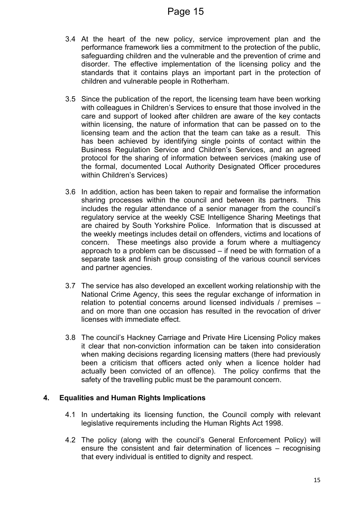- 3.4 At the heart of the new policy, service improvement plan and the performance framework lies a commitment to the protection of the public, safeguarding children and the vulnerable and the prevention of crime and disorder. The effective implementation of the licensing policy and the standards that it contains plays an important part in the protection of children and vulnerable people in Rotherham.
- 3.5 Since the publication of the report, the licensing team have been working with colleagues in Children's Services to ensure that those involved in the care and support of looked after children are aware of the key contacts within licensing, the nature of information that can be passed on to the licensing team and the action that the team can take as a result. This has been achieved by identifying single points of contact within the Business Regulation Service and Children's Services, and an agreed protocol for the sharing of information between services (making use of the formal, documented Local Authority Designated Officer procedures within Children's Services)
- 3.6 In addition, action has been taken to repair and formalise the information sharing processes within the council and between its partners. This includes the regular attendance of a senior manager from the council's regulatory service at the weekly CSE Intelligence Sharing Meetings that are chaired by South Yorkshire Police. Information that is discussed at the weekly meetings includes detail on offenders, victims and locations of concern. These meetings also provide a forum where a multiagency approach to a problem can be discussed – if need be with formation of a separate task and finish group consisting of the various council services and partner agencies.
- 3.7 The service has also developed an excellent working relationship with the National Crime Agency, this sees the regular exchange of information in relation to potential concerns around licensed individuals / premises – and on more than one occasion has resulted in the revocation of driver licenses with immediate effect.
- 3.8 The council's Hackney Carriage and Private Hire Licensing Policy makes it clear that non-conviction information can be taken into consideration when making decisions regarding licensing matters (there had previously been a criticism that officers acted only when a licence holder had actually been convicted of an offence). The policy confirms that the safety of the travelling public must be the paramount concern.

#### **4. Equalities and Human Rights Implications**

- 4.1 In undertaking its licensing function, the Council comply with relevant legislative requirements including the Human Rights Act 1998.
- 4.2 The policy (along with the council's General Enforcement Policy) will ensure the consistent and fair determination of licences – recognising that every individual is entitled to dignity and respect.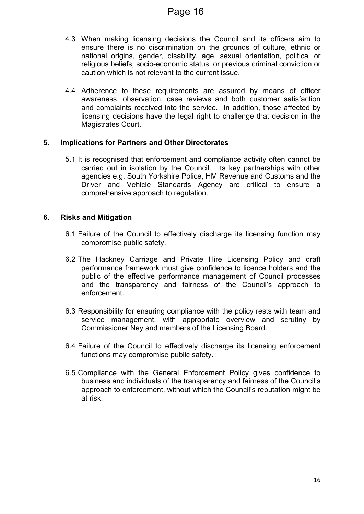- 4.3 When making licensing decisions the Council and its officers aim to ensure there is no discrimination on the grounds of culture, ethnic or national origins, gender, disability, age, sexual orientation, political or religious beliefs, socio-economic status, or previous criminal conviction or caution which is not relevant to the current issue.
- 4.4 Adherence to these requirements are assured by means of officer awareness, observation, case reviews and both customer satisfaction and complaints received into the service. In addition, those affected by licensing decisions have the legal right to challenge that decision in the Magistrates Court.

#### **5. Implications for Partners and Other Directorates**

5.1 It is recognised that enforcement and compliance activity often cannot be carried out in isolation by the Council. Its key partnerships with other agencies e.g. South Yorkshire Police, HM Revenue and Customs and the Driver and Vehicle Standards Agency are critical to ensure a comprehensive approach to regulation.

#### **6. Risks and Mitigation**

- 6.1 Failure of the Council to effectively discharge its licensing function may compromise public safety.
- 6.2 The Hackney Carriage and Private Hire Licensing Policy and draft performance framework must give confidence to licence holders and the public of the effective performance management of Council processes and the transparency and fairness of the Council's approach to enforcement.
- 6.3 Responsibility for ensuring compliance with the policy rests with team and service management, with appropriate overview and scrutiny by Commissioner Ney and members of the Licensing Board.
- 6.4 Failure of the Council to effectively discharge its licensing enforcement functions may compromise public safety.
- 6.5 Compliance with the General Enforcement Policy gives confidence to business and individuals of the transparency and fairness of the Council's approach to enforcement, without which the Council's reputation might be at risk.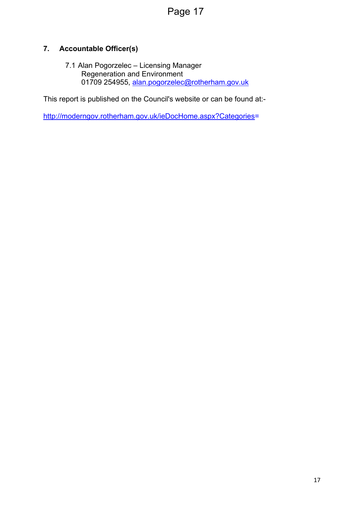## Page 17

## **7. Accountable Officer(s)**

7.1 Alan Pogorzelec – Licensing Manager Regeneration and Environment 01709 254955, [alan.pogorzelec@rotherham.gov.uk](mailto:alan.pogorzelec@rotherham.gov.uk)

This report is published on the Council's website or can be found at:-

[http://moderngov.rotherham.gov.uk/ieDocHome.aspx?Categories=](http://moderngov.rotherham.gov.uk/ieDocHome.aspx?Categories)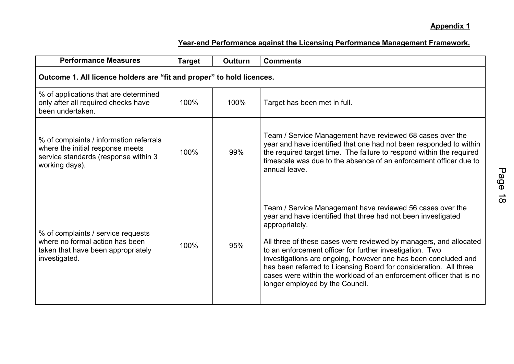## **Appendix 1**

| <b>Performance Measures</b>                                                                                                           | <b>Target</b> | <b>Outturn</b> | <b>Comments</b>                                                                                                                                                                                                                                                                                                                                                                                                                                                                                                                |  |  |  |  |  |  |
|---------------------------------------------------------------------------------------------------------------------------------------|---------------|----------------|--------------------------------------------------------------------------------------------------------------------------------------------------------------------------------------------------------------------------------------------------------------------------------------------------------------------------------------------------------------------------------------------------------------------------------------------------------------------------------------------------------------------------------|--|--|--|--|--|--|
| Outcome 1. All licence holders are "fit and proper" to hold licences.                                                                 |               |                |                                                                                                                                                                                                                                                                                                                                                                                                                                                                                                                                |  |  |  |  |  |  |
| % of applications that are determined<br>only after all required checks have<br>been undertaken.                                      | 100%          | 100%           | Target has been met in full.                                                                                                                                                                                                                                                                                                                                                                                                                                                                                                   |  |  |  |  |  |  |
| % of complaints / information referrals<br>where the initial response meets<br>service standards (response within 3<br>working days). | 100%          | 99%            | Team / Service Management have reviewed 68 cases over the<br>year and have identified that one had not been responded to within<br>the required target time. The failure to respond within the required<br>timescale was due to the absence of an enforcement officer due to<br>annual leave.                                                                                                                                                                                                                                  |  |  |  |  |  |  |
| % of complaints / service requests<br>where no formal action has been<br>taken that have been appropriately<br>investigated.          | 100%          | 95%            | Team / Service Management have reviewed 56 cases over the<br>year and have identified that three had not been investigated<br>appropriately.<br>All three of these cases were reviewed by managers, and allocated<br>to an enforcement officer for further investigation. Two<br>investigations are ongoing, however one has been concluded and<br>has been referred to Licensing Board for consideration. All three<br>cases were within the workload of an enforcement officer that is no<br>longer employed by the Council. |  |  |  |  |  |  |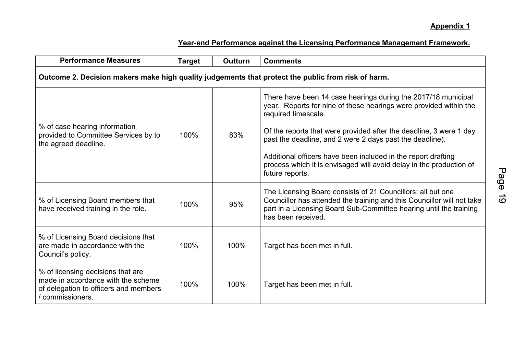| <b>Performance Measures</b>                                                                                                          | <b>Target</b> | <b>Outturn</b> | <b>Comments</b>                                                                                                                                                                                                                                                                                                                                                                                                                                        |  |  |  |  |  |  |
|--------------------------------------------------------------------------------------------------------------------------------------|---------------|----------------|--------------------------------------------------------------------------------------------------------------------------------------------------------------------------------------------------------------------------------------------------------------------------------------------------------------------------------------------------------------------------------------------------------------------------------------------------------|--|--|--|--|--|--|
| Outcome 2. Decision makers make high quality judgements that protect the public from risk of harm.                                   |               |                |                                                                                                                                                                                                                                                                                                                                                                                                                                                        |  |  |  |  |  |  |
| % of case hearing information<br>provided to Committee Services by to<br>the agreed deadline.                                        | 100%          | 83%            | There have been 14 case hearings during the 2017/18 municipal<br>year. Reports for nine of these hearings were provided within the<br>required timescale.<br>Of the reports that were provided after the deadline, 3 were 1 day<br>past the deadline, and 2 were 2 days past the deadline).<br>Additional officers have been included in the report drafting<br>process which it is envisaged will avoid delay in the production of<br>future reports. |  |  |  |  |  |  |
| % of Licensing Board members that<br>have received training in the role.                                                             | 100%          | 95%            | The Licensing Board consists of 21 Councillors; all but one<br>Councillor has attended the training and this Councillor will not take<br>part in a Licensing Board Sub-Committee hearing until the training<br>has been received.                                                                                                                                                                                                                      |  |  |  |  |  |  |
| % of Licensing Board decisions that<br>are made in accordance with the<br>Council's policy.                                          | 100%          | 100%           | Target has been met in full.                                                                                                                                                                                                                                                                                                                                                                                                                           |  |  |  |  |  |  |
| % of licensing decisions that are<br>made in accordance with the scheme<br>of delegation to officers and members<br>/ commissioners. | 100%          | 100%           | Target has been met in full.                                                                                                                                                                                                                                                                                                                                                                                                                           |  |  |  |  |  |  |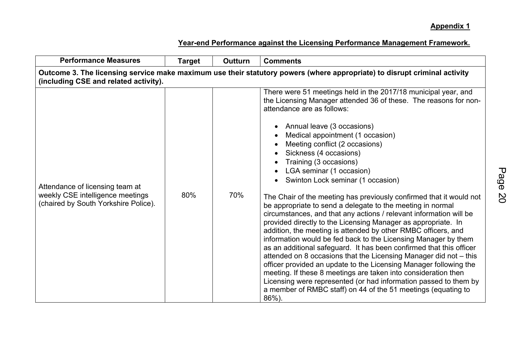| <b>Performance Measures</b>                                                                                                                                        | <b>Target</b> | Outturn | <b>Comments</b>                                                                                                                                                                                                                                                                                                                                                                                                                                                                                                                                                                                                                                                                                                                                                                                                                                                                                                                                                                                                                                                                                                                                                                                                                           |  |  |  |  |  |  |
|--------------------------------------------------------------------------------------------------------------------------------------------------------------------|---------------|---------|-------------------------------------------------------------------------------------------------------------------------------------------------------------------------------------------------------------------------------------------------------------------------------------------------------------------------------------------------------------------------------------------------------------------------------------------------------------------------------------------------------------------------------------------------------------------------------------------------------------------------------------------------------------------------------------------------------------------------------------------------------------------------------------------------------------------------------------------------------------------------------------------------------------------------------------------------------------------------------------------------------------------------------------------------------------------------------------------------------------------------------------------------------------------------------------------------------------------------------------------|--|--|--|--|--|--|
| Outcome 3. The licensing service make maximum use their statutory powers (where appropriate) to disrupt criminal activity<br>(including CSE and related activity). |               |         |                                                                                                                                                                                                                                                                                                                                                                                                                                                                                                                                                                                                                                                                                                                                                                                                                                                                                                                                                                                                                                                                                                                                                                                                                                           |  |  |  |  |  |  |
| Attendance of licensing team at<br>weekly CSE intelligence meetings<br>(chaired by South Yorkshire Police).                                                        | 80%           | 70%     | There were 51 meetings held in the 2017/18 municipal year, and<br>the Licensing Manager attended 36 of these. The reasons for non-<br>attendance are as follows:<br>Annual leave (3 occasions)<br>Medical appointment (1 occasion)<br>Meeting conflict (2 occasions)<br>Sickness (4 occasions)<br>Training (3 occasions)<br>LGA seminar (1 occasion)<br>Swinton Lock seminar (1 occasion)<br>The Chair of the meeting has previously confirmed that it would not<br>be appropriate to send a delegate to the meeting in normal<br>circumstances, and that any actions / relevant information will be<br>provided directly to the Licensing Manager as appropriate. In<br>addition, the meeting is attended by other RMBC officers, and<br>information would be fed back to the Licensing Manager by them<br>as an additional safeguard. It has been confirmed that this officer<br>attended on 8 occasions that the Licensing Manager did not - this<br>officer provided an update to the Licensing Manager following the<br>meeting. If these 8 meetings are taken into consideration then<br>Licensing were represented (or had information passed to them by<br>a member of RMBC staff) on 44 of the 51 meetings (equating to<br>86%). |  |  |  |  |  |  |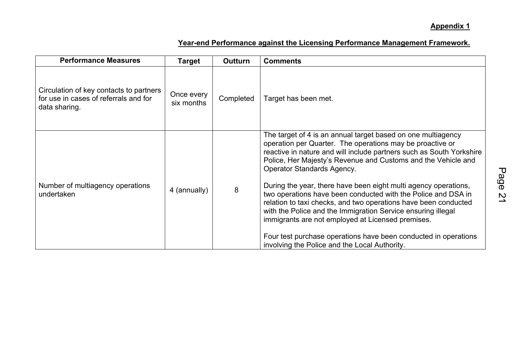| <b>Performance Measures</b>                                                                       | <b>Target</b>            | Outturn   | <b>Comments</b>                                                                                                                                                                                                                                                                                                                                                                                                                                                                                                                                                                                                                                                                                                                                  |
|---------------------------------------------------------------------------------------------------|--------------------------|-----------|--------------------------------------------------------------------------------------------------------------------------------------------------------------------------------------------------------------------------------------------------------------------------------------------------------------------------------------------------------------------------------------------------------------------------------------------------------------------------------------------------------------------------------------------------------------------------------------------------------------------------------------------------------------------------------------------------------------------------------------------------|
| Circulation of key contacts to partners<br>for use in cases of referrals and for<br>data sharing. | Once every<br>six months | Completed | Target has been met.                                                                                                                                                                                                                                                                                                                                                                                                                                                                                                                                                                                                                                                                                                                             |
| Number of multiagency operations<br>undertaken                                                    | 4 (annually)             | 8         | The target of 4 is an annual target based on one multiagency<br>operation per Quarter. The operations may be proactive or<br>reactive in nature and will include partners such as South Yorkshire<br>Police, Her Majesty's Revenue and Customs and the Vehicle and<br>Operator Standards Agency.<br>During the year, there have been eight multi agency operations,<br>two operations have been conducted with the Police and DSA in<br>relation to taxi checks, and two operations have been conducted<br>with the Police and the Immigration Service ensuring illegal<br>immigrants are not employed at Licensed premises.<br>Four test purchase operations have been conducted in operations<br>involving the Police and the Local Authority. |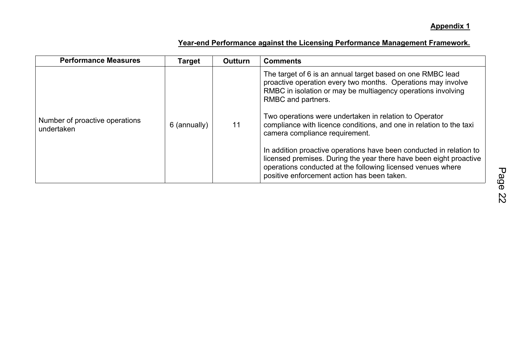| <b>Performance Measures</b>                  | <b>Target</b> | <b>Outturn</b> | <b>Comments</b>                                                                                                                                                                                                                                                                                                                                                                                                                                                                                                                                                                                                                                |
|----------------------------------------------|---------------|----------------|------------------------------------------------------------------------------------------------------------------------------------------------------------------------------------------------------------------------------------------------------------------------------------------------------------------------------------------------------------------------------------------------------------------------------------------------------------------------------------------------------------------------------------------------------------------------------------------------------------------------------------------------|
| Number of proactive operations<br>undertaken | 6 (annually)  | 11             | The target of 6 is an annual target based on one RMBC lead<br>proactive operation every two months. Operations may involve<br>RMBC in isolation or may be multiagency operations involving<br>RMBC and partners.<br>Two operations were undertaken in relation to Operator<br>compliance with licence conditions, and one in relation to the taxi<br>camera compliance requirement.<br>In addition proactive operations have been conducted in relation to<br>licensed premises. During the year there have been eight proactive<br>operations conducted at the following licensed venues where<br>positive enforcement action has been taken. |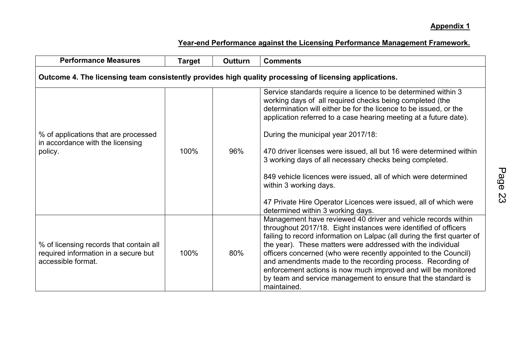| <b>Performance Measures</b>                                                                            | <b>Target</b> | <b>Outturn</b> | <b>Comments</b>                                                                                                                                                                                                                                                                                                                                                                                                                                                                                                                                                                                                                                 |  |  |  |  |  |  |
|--------------------------------------------------------------------------------------------------------|---------------|----------------|-------------------------------------------------------------------------------------------------------------------------------------------------------------------------------------------------------------------------------------------------------------------------------------------------------------------------------------------------------------------------------------------------------------------------------------------------------------------------------------------------------------------------------------------------------------------------------------------------------------------------------------------------|--|--|--|--|--|--|
| Outcome 4. The licensing team consistently provides high quality processing of licensing applications. |               |                |                                                                                                                                                                                                                                                                                                                                                                                                                                                                                                                                                                                                                                                 |  |  |  |  |  |  |
| % of applications that are processed<br>in accordance with the licensing<br>policy.                    | 100%          | 96%            | Service standards require a licence to be determined within 3<br>working days of all required checks being completed (the<br>determination will either be for the licence to be issued, or the<br>application referred to a case hearing meeting at a future date).<br>During the municipal year 2017/18:<br>470 driver licenses were issued, all but 16 were determined within<br>3 working days of all necessary checks being completed.<br>849 vehicle licences were issued, all of which were determined<br>within 3 working days.<br>47 Private Hire Operator Licences were issued, all of which were<br>determined within 3 working days. |  |  |  |  |  |  |
| % of licensing records that contain all<br>required information in a secure but<br>accessible format.  | 100%          | 80%            | Management have reviewed 40 driver and vehicle records within<br>throughout 2017/18. Eight instances were identified of officers<br>failing to record information on Lalpac (all during the first quarter of<br>the year). These matters were addressed with the individual<br>officers concerned (who were recently appointed to the Council)<br>and amendments made to the recording process. Recording of<br>enforcement actions is now much improved and will be monitored<br>by team and service management to ensure that the standard is<br>maintained.                                                                                  |  |  |  |  |  |  |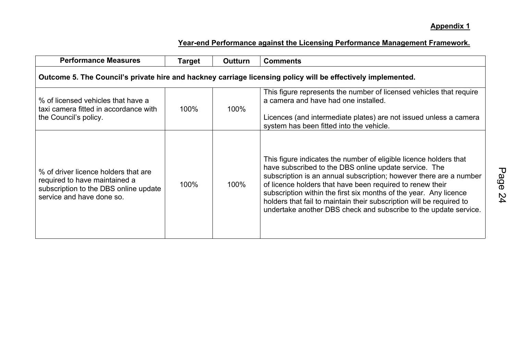| <b>Performance Measures</b>                                                                                                                 | <b>Target</b> | Outturn | <b>Comments</b>                                                                                                                                                                                                                                                                                                                                                                                                                                                                                                            |  |  |  |  |  |  |
|---------------------------------------------------------------------------------------------------------------------------------------------|---------------|---------|----------------------------------------------------------------------------------------------------------------------------------------------------------------------------------------------------------------------------------------------------------------------------------------------------------------------------------------------------------------------------------------------------------------------------------------------------------------------------------------------------------------------------|--|--|--|--|--|--|
| Outcome 5. The Council's private hire and hackney carriage licensing policy will be effectively implemented.                                |               |         |                                                                                                                                                                                                                                                                                                                                                                                                                                                                                                                            |  |  |  |  |  |  |
| % of licensed vehicles that have a<br>taxi camera fitted in accordance with<br>the Council's policy.                                        | 100%          | 100%    | This figure represents the number of licensed vehicles that require<br>a camera and have had one installed.<br>Licences (and intermediate plates) are not issued unless a camera                                                                                                                                                                                                                                                                                                                                           |  |  |  |  |  |  |
| % of driver licence holders that are<br>required to have maintained a<br>subscription to the DBS online update<br>service and have done so. | 100%          | 100%    | system has been fitted into the vehicle.<br>This figure indicates the number of eligible licence holders that<br>have subscribed to the DBS online update service. The<br>subscription is an annual subscription; however there are a number<br>of licence holders that have been required to renew their<br>subscription within the first six months of the year. Any licence<br>holders that fail to maintain their subscription will be required to<br>undertake another DBS check and subscribe to the update service. |  |  |  |  |  |  |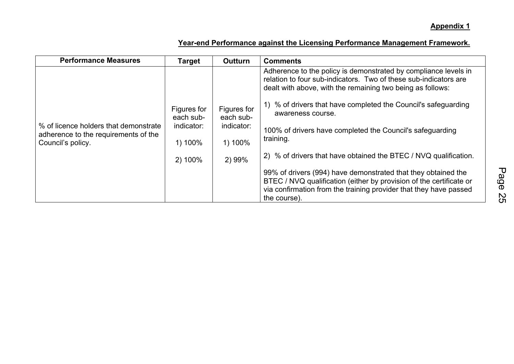| <b>Performance Measures</b>                                                   | <b>Target</b>            | <b>Outturn</b>           | <b>Comments</b>                                                                                                                                                                                   |  |  |  |  |
|-------------------------------------------------------------------------------|--------------------------|--------------------------|---------------------------------------------------------------------------------------------------------------------------------------------------------------------------------------------------|--|--|--|--|
|                                                                               |                          |                          | Adherence to the policy is demonstrated by compliance levels in<br>relation to four sub-indicators. Two of these sub-indicators are<br>dealt with above, with the remaining two being as follows: |  |  |  |  |
|                                                                               | Figures for<br>each sub- | Figures for<br>each sub- | 1) % of drivers that have completed the Council's safeguarding<br>awareness course.                                                                                                               |  |  |  |  |
| % of licence holders that demonstrate<br>adherence to the requirements of the | indicator:               | indicator:               | 100% of drivers have completed the Council's safeguarding                                                                                                                                         |  |  |  |  |
| Council's policy.                                                             | 1) 100%                  | 1) 100%                  | training.                                                                                                                                                                                         |  |  |  |  |
|                                                                               | 2) 100%                  | 2) 99%                   | 2) % of drivers that have obtained the BTEC / NVQ qualification.                                                                                                                                  |  |  |  |  |
|                                                                               |                          |                          | 99% of drivers (994) have demonstrated that they obtained the                                                                                                                                     |  |  |  |  |
|                                                                               |                          |                          | BTEC / NVQ qualification (either by provision of the certificate or<br>via confirmation from the training provider that they have passed                                                          |  |  |  |  |
|                                                                               |                          |                          | the course).                                                                                                                                                                                      |  |  |  |  |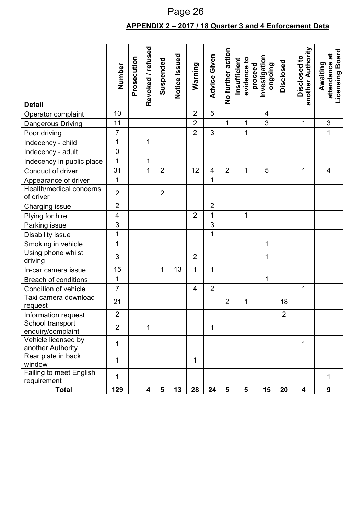## **APPENDIX 2 – 2017 / 18 Quarter 3 and 4 Enforcement Data** Page 26

| <b>Detail</b>                            | Number                   | Prosecution | Revoked / refused | Suspended      | Notice Issued | Warning                 | Advice Given   | No further action | evidence to<br>Insufficient<br>proceed | Investigation<br>puiopuo | Disclosed      | another Authority<br>Disclosed to | <b>Licensing Board</b><br>attendance at<br>Awaiting |
|------------------------------------------|--------------------------|-------------|-------------------|----------------|---------------|-------------------------|----------------|-------------------|----------------------------------------|--------------------------|----------------|-----------------------------------|-----------------------------------------------------|
| Operator complaint                       | 10                       |             |                   |                |               | $\overline{2}$          | 5              |                   |                                        | 4                        |                |                                   |                                                     |
| Dangerous Driving                        | 11                       |             |                   |                |               | $\overline{2}$          |                | $\mathbf{1}$      | 1                                      | 3                        |                | 1                                 | $\sqrt{3}$                                          |
| Poor driving                             | $\overline{7}$           |             |                   |                |               | $\overline{2}$          | 3              |                   | $\overline{1}$                         |                          |                |                                   | 1                                                   |
| Indecency - child                        | $\mathbf 1$              |             | 1                 |                |               |                         |                |                   |                                        |                          |                |                                   |                                                     |
| Indecency - adult                        | $\mathbf 0$              |             |                   |                |               |                         |                |                   |                                        |                          |                |                                   |                                                     |
| Indecency in public place                | $\overline{1}$           |             | 1                 |                |               |                         |                |                   |                                        |                          |                |                                   |                                                     |
| Conduct of driver                        | 31                       |             | 1                 | $\overline{2}$ |               | 12                      | $\overline{4}$ | $\overline{2}$    | $\mathbf{1}$                           | 5                        |                | 1                                 | $\overline{\mathbf{4}}$                             |
| Appearance of driver                     | 1                        |             |                   |                |               |                         | $\overline{1}$ |                   |                                        |                          |                |                                   |                                                     |
| Health/medical concerns<br>of driver     | $\overline{2}$           |             |                   | $\overline{2}$ |               |                         |                |                   |                                        |                          |                |                                   |                                                     |
| <b>Charging issue</b>                    | $\overline{2}$           |             |                   |                |               |                         | $\overline{2}$ |                   |                                        |                          |                |                                   |                                                     |
| Plying for hire                          | $\overline{\mathcal{A}}$ |             |                   |                |               | $\overline{2}$          | $\mathbf{1}$   |                   | $\mathbf{1}$                           |                          |                |                                   |                                                     |
| Parking issue                            | 3                        |             |                   |                |               |                         | 3              |                   |                                        |                          |                |                                   |                                                     |
| Disability issue                         | $\mathbf 1$              |             |                   |                |               |                         | $\overline{1}$ |                   |                                        |                          |                |                                   |                                                     |
| Smoking in vehicle                       | $\overline{1}$           |             |                   |                |               |                         |                |                   |                                        | 1                        |                |                                   |                                                     |
| Using phone whilst<br>driving            | 3                        |             |                   |                |               | $\overline{2}$          |                |                   |                                        | 1                        |                |                                   |                                                     |
| In-car camera issue                      | 15                       |             |                   | $\mathbf{1}$   | 13            | $\mathbf{1}$            | $\mathbf{1}$   |                   |                                        |                          |                |                                   |                                                     |
| Breach of conditions                     | $\mathbf 1$              |             |                   |                |               |                         |                |                   |                                        | 1                        |                |                                   |                                                     |
| Condition of vehicle                     | $\overline{7}$           |             |                   |                |               | $\overline{\mathbf{4}}$ | $\overline{2}$ |                   |                                        |                          |                | 1                                 |                                                     |
| Taxi camera download<br>request          | 21                       |             |                   |                |               |                         |                | $\overline{2}$    | 1                                      |                          | 18             |                                   |                                                     |
| Information request                      | $\overline{2}$           |             |                   |                |               |                         |                |                   |                                        |                          | $\overline{2}$ |                                   |                                                     |
| School transport<br>enquiry/complaint    | $\overline{2}$           |             | 1                 |                |               |                         | 1              |                   |                                        |                          |                |                                   |                                                     |
| Vehicle licensed by<br>another Authority | 1                        |             |                   |                |               |                         |                |                   |                                        |                          |                | 1                                 |                                                     |
| Rear plate in back<br>window             | 1                        |             |                   |                |               | 1                       |                |                   |                                        |                          |                |                                   |                                                     |
| Failing to meet English<br>requirement   | 1                        |             |                   |                |               |                         |                |                   |                                        |                          |                |                                   | 1                                                   |
| <b>Total</b>                             | 129                      |             | 4                 | 5              | 13            | 28                      | 24             | $5\phantom{1}$    | 5                                      | 15                       | 20             | $\overline{\mathbf{4}}$           | 9                                                   |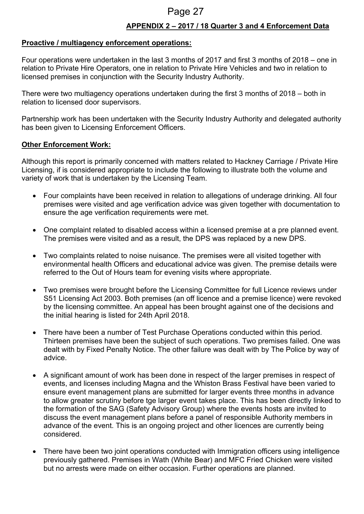## Page 27

#### **APPENDIX 2 – 2017 / 18 Quarter 3 and 4 Enforcement Data**

#### **Proactive / multiagency enforcement operations:**

Four operations were undertaken in the last 3 months of 2017 and first 3 months of 2018 – one in relation to Private Hire Operators, one in relation to Private Hire Vehicles and two in relation to licensed premises in conjunction with the Security Industry Authority.

There were two multiagency operations undertaken during the first 3 months of 2018 – both in relation to licensed door supervisors.

Partnership work has been undertaken with the Security Industry Authority and delegated authority has been given to Licensing Enforcement Officers.

#### **Other Enforcement Work:**

Although this report is primarily concerned with matters related to Hackney Carriage / Private Hire Licensing, if is considered appropriate to include the following to illustrate both the volume and variety of work that is undertaken by the Licensing Team.

- Four complaints have been received in relation to allegations of underage drinking. All four premises were visited and age verification advice was given together with documentation to ensure the age verification requirements were met.
- One complaint related to disabled access within a licensed premise at a pre planned event. The premises were visited and as a result, the DPS was replaced by a new DPS.
- Two complaints related to noise nuisance. The premises were all visited together with environmental health Officers and educational advice was given. The premise details were referred to the Out of Hours team for evening visits where appropriate.
- Two premises were brought before the Licensing Committee for full Licence reviews under S51 Licensing Act 2003. Both premises (an off licence and a premise licence) were revoked by the licensing committee. An appeal has been brought against one of the decisions and the initial hearing is listed for 24th April 2018.
- There have been a number of Test Purchase Operations conducted within this period. Thirteen premises have been the subject of such operations. Two premises failed. One was dealt with by Fixed Penalty Notice. The other failure was dealt with by The Police by way of advice.
- A significant amount of work has been done in respect of the larger premises in respect of events, and licenses including Magna and the Whiston Brass Festival have been varied to ensure event management plans are submitted for larger events three months in advance to allow greater scrutiny before tge larger event takes place. This has been directly linked to the formation of the SAG (Safety Advisory Group) where the events hosts are invited to discuss the event management plans before a panel of responsible Authority members in advance of the event. This is an ongoing project and other licences are currently being considered.
- There have been two joint operations conducted with Immigration officers using intelligence previously gathered. Premises in Wath (White Bear) and MFC Fried Chicken were visited but no arrests were made on either occasion. Further operations are planned.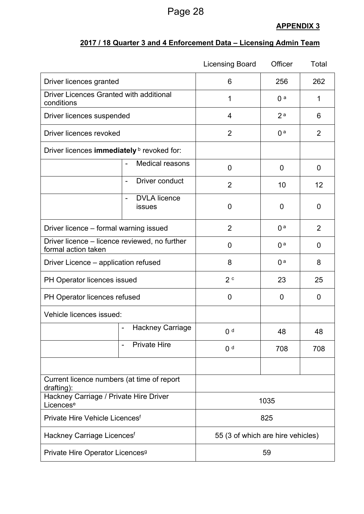## Page 28

## **APPENDIX 3**

## **2017 / 18 Quarter 3 and 4 Enforcement Data – Licensing Admin Team**

|                                                                      |                                                           | <b>Licensing Board</b>            | Officer        | Total          |  |  |
|----------------------------------------------------------------------|-----------------------------------------------------------|-----------------------------------|----------------|----------------|--|--|
| Driver licences granted                                              |                                                           | 6                                 | 256            | 262            |  |  |
| Driver Licences Granted with additional<br>conditions                |                                                           | 1                                 | 1              |                |  |  |
| Driver licences suspended                                            |                                                           | 4                                 | 2 <sup>a</sup> | 6              |  |  |
| Driver licences revoked                                              |                                                           | $\overline{2}$                    | 0 <sup>a</sup> | $\overline{2}$ |  |  |
| Driver licences immediately <b>b</b> revoked for:                    |                                                           |                                   |                |                |  |  |
|                                                                      | <b>Medical reasons</b>                                    | 0                                 | $\overline{0}$ | 0              |  |  |
|                                                                      | Driver conduct<br>$\overline{\phantom{a}}$                | $\overline{2}$                    | 10             | 12             |  |  |
|                                                                      | <b>DVLA</b> licence<br>$\overline{\phantom{a}}$<br>issues | 0                                 | 0              | 0              |  |  |
| Driver licence - formal warning issued                               |                                                           | $\overline{2}$                    | 0 <sup>a</sup> | $\overline{2}$ |  |  |
| Driver licence – licence reviewed, no further<br>formal action taken |                                                           | 0                                 | $\overline{0}$ |                |  |  |
| Driver Licence – application refused                                 |                                                           | 8                                 | 0 <sup>a</sup> | 8              |  |  |
| PH Operator licences issued                                          |                                                           | 2c                                | 23             | 25             |  |  |
| PH Operator licences refused                                         |                                                           | 0                                 | 0              | 0              |  |  |
| Vehicle licences issued:                                             |                                                           |                                   |                |                |  |  |
|                                                                      | <b>Hackney Carriage</b><br>$\qquad \qquad \blacksquare$   | 0 <sup>d</sup>                    | 48             | 48             |  |  |
|                                                                      | <b>Private Hire</b>                                       | 0 <sup>d</sup>                    | 708            | 708            |  |  |
|                                                                      |                                                           |                                   |                |                |  |  |
| Current licence numbers (at time of report<br>drafting):             |                                                           |                                   |                |                |  |  |
| Hackney Carriage / Private Hire Driver<br>Licences <sup>e</sup>      |                                                           | 1035                              |                |                |  |  |
| Private Hire Vehicle Licences <sup>f</sup>                           |                                                           | 825                               |                |                |  |  |
| Hackney Carriage Licences <sup>f</sup>                               |                                                           | 55 (3 of which are hire vehicles) |                |                |  |  |
| Private Hire Operator Licences <sup>9</sup>                          |                                                           | 59                                |                |                |  |  |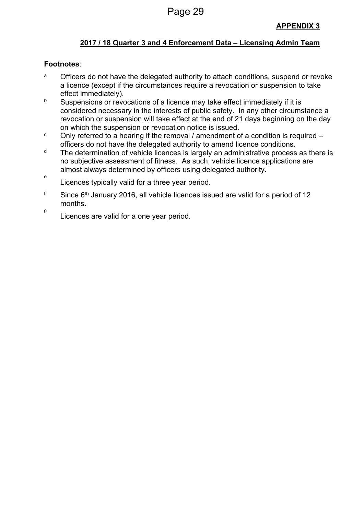## **2017 / 18 Quarter 3 and 4 Enforcement Data – Licensing Admin Team**

#### **Footnotes**:

- a Officers do not have the delegated authority to attach conditions, suspend or revoke a licence (except if the circumstances require a revocation or suspension to take effect immediately).
- b Suspensions or revocations of a licence may take effect immediately if it is considered necessary in the interests of public safety. In any other circumstance a revocation or suspension will take effect at the end of 21 days beginning on the day on which the suspension or revocation notice is issued.
- <sup>c</sup> Only referred to a hearing if the removal / amendment of a condition is required officers do not have the delegated authority to amend licence conditions.
- $d$  The determination of vehicle licences is largely an administrative process as there is no subjective assessment of fitness. As such, vehicle licence applications are almost always determined by officers using delegated authority.
- e Licences typically valid for a three year period.
- <sup>f</sup> Since 6<sup>th</sup> January 2016, all vehicle licences issued are valid for a period of 12 months.
- g Licences are valid for a one year period.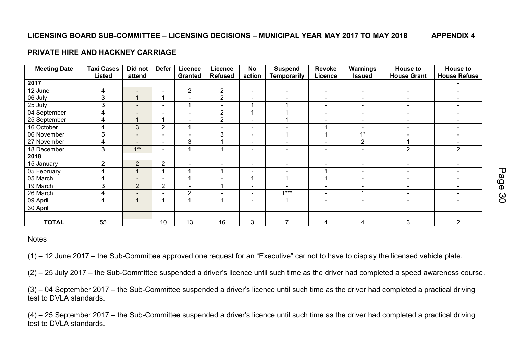#### **LICENSING BOARD SUB-COMMITTEE – LICENSING DECISIONS – MUNICIPAL YEAR MAY 2017 TO MAY 2018 APPENDIX 4**

#### **PRIVATE HIRE AND HACKNEY CARRIAGE**

| <b>Meeting Date</b> | <b>Taxi Cases</b> | Did not                  | <b>Defer</b>             | Licence                  | Licence                  | <b>No</b>                | <b>Suspend</b>           | <b>Revoke</b>            | Warnings                 | <b>House to</b>          | <b>House to</b>          |
|---------------------|-------------------|--------------------------|--------------------------|--------------------------|--------------------------|--------------------------|--------------------------|--------------------------|--------------------------|--------------------------|--------------------------|
|                     | <b>Listed</b>     | attend                   |                          | <b>Granted</b>           | <b>Refused</b>           | action                   | Temporarily              | Licence                  | <b>Issued</b>            | <b>House Grant</b>       | <b>House Refuse</b>      |
| 2017                |                   |                          |                          |                          |                          |                          |                          |                          |                          |                          |                          |
| 12 June             | 4                 | $\overline{\phantom{a}}$ | $\overline{\phantom{a}}$ | $\overline{2}$           | $\overline{2}$           | $\overline{\phantom{a}}$ | $\blacksquare$           | $\overline{\phantom{a}}$ | $\overline{\phantom{a}}$ | $\blacksquare$           | $\overline{\phantom{a}}$ |
| 06 July             | 3                 |                          |                          | $\blacksquare$           | $\overline{2}$           | $\overline{\phantom{a}}$ | $\overline{\phantom{a}}$ | $\overline{\phantom{a}}$ | $\blacksquare$           | $\overline{\phantom{a}}$ | $\overline{\phantom{a}}$ |
| 25 July             | 3                 | $\overline{\phantom{a}}$ | $\qquad \qquad$          |                          | $\blacksquare$           | $\overline{\phantom{a}}$ |                          | $\overline{\phantom{a}}$ | $\overline{\phantom{a}}$ | $\blacksquare$           | $\overline{\phantom{a}}$ |
| 04 September        | 4                 | $\overline{\phantom{a}}$ | $\overline{\phantom{0}}$ | $\qquad \qquad -$        | $\overline{2}$           | $\overline{\mathbf{A}}$  |                          | $\overline{\phantom{a}}$ | $\overline{\phantom{a}}$ | $\blacksquare$           | $\overline{\phantom{a}}$ |
| 25 September        | 4                 |                          |                          | $\overline{\phantom{0}}$ | $\overline{2}$           | $\blacksquare$           |                          | $\overline{\phantom{a}}$ | $\blacksquare$           | $\blacksquare$           | $\blacksquare$           |
| 16 October          | 4                 | 3                        | $\overline{2}$           |                          | $\blacksquare$           | $\overline{\phantom{0}}$ |                          |                          | $\overline{\phantom{a}}$ | $\overline{\phantom{a}}$ | $\overline{\phantom{a}}$ |
| 06 November         | 5                 | $\overline{\phantom{0}}$ | $\overline{\phantom{a}}$ | $\blacksquare$           | 3                        | $\overline{\phantom{a}}$ | 4                        |                          | $1*$                     | $\overline{\phantom{a}}$ | $\overline{\phantom{a}}$ |
| 27 November         | 4                 | $\qquad \qquad =$        | $\overline{\phantom{a}}$ | 3                        |                          | $\overline{\phantom{a}}$ | $\overline{\phantom{a}}$ | $\overline{\phantom{a}}$ | $\overline{2}$           | и                        | $\overline{\phantom{a}}$ |
| 18 December         | 3                 | $1**$                    | $\blacksquare$           |                          |                          | $\equiv$                 | $\overline{\phantom{a}}$ | $\overline{\phantom{a}}$ | $\overline{\phantom{a}}$ | $\overline{2}$           | $\overline{2}$           |
| 2018                |                   |                          |                          |                          |                          |                          |                          |                          |                          |                          |                          |
| 15 January          | $\overline{2}$    | $\overline{2}$           | $\overline{2}$           | $\overline{\phantom{0}}$ | $\overline{\phantom{a}}$ | $\overline{\phantom{a}}$ | $\sim$                   | $\overline{\phantom{a}}$ | $\overline{\phantom{a}}$ | $\overline{\phantom{a}}$ | $\blacksquare$           |
| 05 February         | 4                 |                          |                          |                          |                          | $\equiv$                 | $\overline{\phantom{a}}$ |                          | $\blacksquare$           | $\blacksquare$           | ٠                        |
| 05 March            | 4                 | $\overline{\phantom{a}}$ | $\overline{\phantom{a}}$ |                          | $\overline{\phantom{a}}$ | $\overline{\mathbf{A}}$  | и                        |                          | $\overline{\phantom{a}}$ | $\overline{\phantom{a}}$ |                          |
| 19 March            | 3                 | $\overline{2}$           | $\overline{2}$           | $\equiv$                 |                          | $\blacksquare$           |                          | $\overline{\phantom{a}}$ | $\sim$                   | $\overline{\phantom{a}}$ | $\overline{\phantom{a}}$ |
| 26 March            | 4                 | $\overline{\phantom{0}}$ | $\overline{\phantom{0}}$ | $\overline{2}$           | $\overline{\phantom{0}}$ | $\overline{\phantom{a}}$ | $1***$                   | $\overline{\phantom{a}}$ | 1                        | $\overline{\phantom{a}}$ |                          |
| 09 April            | 4                 |                          |                          |                          |                          | $\overline{\phantom{0}}$ |                          | $\overline{\phantom{a}}$ | $\overline{\phantom{a}}$ | $\overline{\phantom{a}}$ | $\overline{\phantom{a}}$ |
| 30 April            |                   |                          |                          |                          |                          |                          |                          |                          |                          |                          |                          |
|                     |                   |                          |                          |                          |                          |                          |                          |                          |                          |                          |                          |
| <b>TOTAL</b>        | 55                |                          | 10                       | 13                       | 16                       | 3                        | 7                        | 4                        | 4                        | 3                        | 2                        |

#### **Notes**

(1) – 12 June 2017 – the Sub-Committee approved one request for an "Executive" car not to have to display the licensed vehicle plate.

(2) – 25 July 2017 – the Sub-Committee suspended a driver's licence until such time as the driver had completed a speed awareness course.

(3) – 04 September 2017 – the Sub-Committee suspended a driver's licence until such time as the driver had completed a practical driving test to DVLA standards.

(4) – 25 September 2017 – the Sub-Committee suspended a driver's licence until such time as the driver had completed a practical driving test to DVLA standards.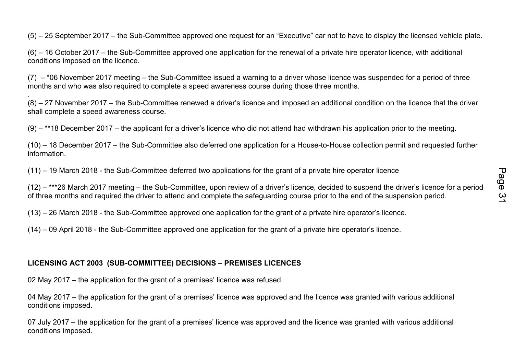(5) – 25 September 2017 – the Sub-Committee approved one request for an "Executive" car not to have to display the licensed vehicle plate.

(6) – 16 October 2017 – the Sub-Committee approved one application for the renewal of a private hire operator licence, with additional conditions imposed on the licence.

 $(7)$  – \*06 November 2017 meeting – the Sub-Committee issued a warning to a driver whose licence was suspended for a period of three months and who was also required to complete a speed awareness course during those three months.

. (8) – 27 November 2017 – the Sub-Committee renewed a driver's licence and imposed an additional condition on the licence that the driver shall complete a speed awareness course.

 $(9)$  – \*\*18 December 2017 – the applicant for a driver's licence who did not attend had withdrawn his application prior to the meeting.

(10) – 18 December 2017 – the Sub-Committee also deferred one application for a House-to-House collection permit and requested further information.

(11) – 19 March 2018 - the Sub-Committee deferred two applications for the grant of a private hire operator licence

(12) – \*\*\*26 March 2017 meeting – the Sub-Committee, upon review of a driver's licence, decided to suspend the driver's licence for a period of three months and required the driver to attend and complete the safeguarding course prior to the end of the suspension period.

(13) – 26 March 2018 - the Sub-Committee approved one application for the grant of a private hire operator's licence.

(14) – 09 April 2018 - the Sub-Committee approved one application for the grant of a private hire operator's licence.

## **LICENSING ACT 2003 (SUB-COMMITTEE) DECISIONS – PREMISES LICENCES**

02 May 2017 – the application for the grant of a premises' licence was refused.

04 May 2017 – the application for the grant of a premises' licence was approved and the licence was granted with various additional conditions imposed.

07 July 2017 – the application for the grant of a premises' licence was approved and the licence was granted with various additional conditions imposed.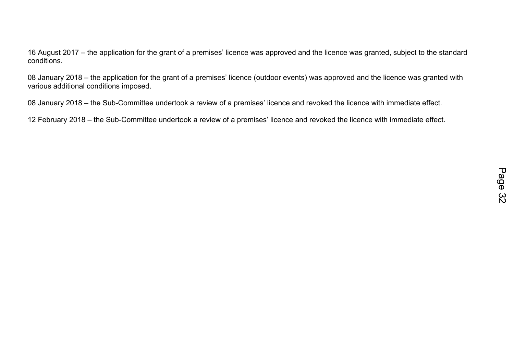16 August 2017 – the application for the grant of a premises' licence was approved and the licence was granted, subject to the standard conditions.

08 January 2018 – the application for the grant of a premises' licence (outdoor events) was approved and the licence was granted with various additional conditions imposed.

08 January 2018 – the Sub-Committee undertook a review of a premises' licence and revoked the licence with immediate effect.

12 February 2018 – the Sub-Committee undertook a review of a premises' licence and revoked the licence with immediate effect.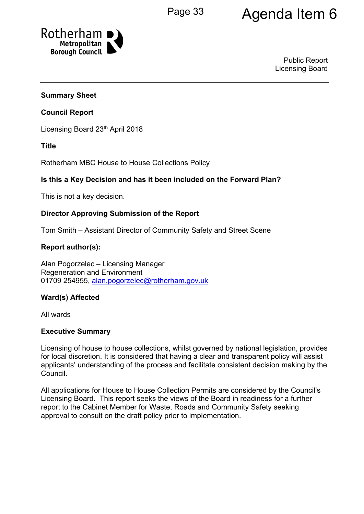# Page 33 Agenda Item 6



Public Report Licensing Board

#### **Summary Sheet**

#### **Council Report**

Licensing Board 23<sup>th</sup> April 2018

#### **Title**

Rotherham MBC House to House Collections Policy

#### **Is this a Key Decision and has it been included on the Forward Plan?**

This is not a key decision.

#### **Director Approving Submission of the Report**

Tom Smith – Assistant Director of Community Safety and Street Scene

#### **Report author(s):**

Alan Pogorzelec – Licensing Manager Regeneration and Environment 01709 254955, [alan.pogorzelec@rotherham.gov.uk](mailto:alan.pogorzelec@rotherham.gov.uk)

#### **Ward(s) Affected**

All wards

#### **Executive Summary**

Licensing of house to house collections, whilst governed by national legislation, provides for local discretion. It is considered that having a clear and transparent policy will assist applicants' understanding of the process and facilitate consistent decision making by the Council.

All applications for House to House Collection Permits are considered by the Council's Licensing Board. This report seeks the views of the Board in readiness for a further report to the Cabinet Member for Waste, Roads and Community Safety seeking approval to consult on the draft policy prior to implementation.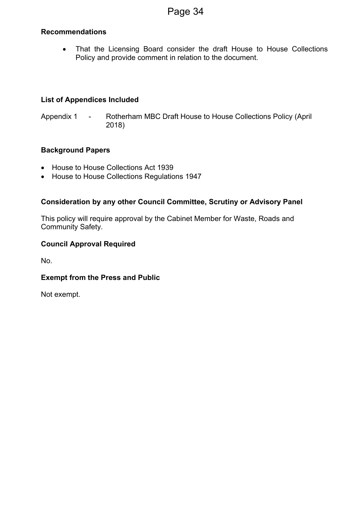#### **Recommendations**

• That the Licensing Board consider the draft House to House Collections Policy and provide comment in relation to the document.

#### **List of Appendices Included**

Appendix 1 - Rotherham MBC Draft House to House Collections Policy (April 2018)

#### **Background Papers**

- House to House Collections Act 1939
- House to House Collections Regulations 1947

#### **Consideration by any other Council Committee, Scrutiny or Advisory Panel**

This policy will require approval by the Cabinet Member for Waste, Roads and Community Safety.

#### **Council Approval Required**

No.

#### **Exempt from the Press and Public**

Not exempt.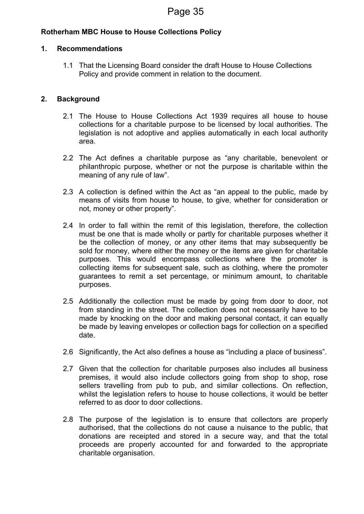#### **Rotherham MBC House to House Collections Policy**

#### **1. Recommendations**

1.1 That the Licensing Board consider the draft House to House Collections Policy and provide comment in relation to the document.

#### **2. Background**

- 2.1 The House to House Collections Act 1939 requires all house to house collections for a charitable purpose to be licensed by local authorities. The legislation is not adoptive and applies automatically in each local authority area.
- 2.2 The Act defines a charitable purpose as "any charitable, benevolent or philanthropic purpose, whether or not the purpose is charitable within the meaning of any rule of law".
- 2.3 A collection is defined within the Act as "an appeal to the public, made by means of visits from house to house, to give, whether for consideration or not, money or other property".
- 2.4 In order to fall within the remit of this legislation, therefore, the collection must be one that is made wholly or partly for charitable purposes whether it be the collection of money, or any other items that may subsequently be sold for money, where either the money or the items are given for charitable purposes. This would encompass collections where the promoter is collecting items for subsequent sale, such as clothing, where the promoter guarantees to remit a set percentage, or minimum amount, to charitable purposes.
- 2.5 Additionally the collection must be made by going from door to door, not from standing in the street. The collection does not necessarily have to be made by knocking on the door and making personal contact, it can equally be made by leaving envelopes or collection bags for collection on a specified date.
- 2.6 Significantly, the Act also defines a house as "including a place of business".
- 2.7 Given that the collection for charitable purposes also includes all business premises, it would also include collectors going from shop to shop, rose sellers travelling from pub to pub, and similar collections. On reflection, whilst the legislation refers to house to house collections, it would be better referred to as door to door collections.
- 2.8 The purpose of the legislation is to ensure that collectors are properly authorised, that the collections do not cause a nuisance to the public, that donations are receipted and stored in a secure way, and that the total proceeds are properly accounted for and forwarded to the appropriate charitable organisation.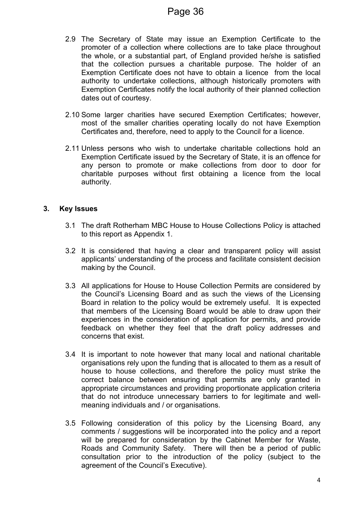- 2.9 The Secretary of State may issue an Exemption Certificate to the promoter of a collection where collections are to take place throughout the whole, or a substantial part, of England provided he/she is satisfied that the collection pursues a charitable purpose. The holder of an Exemption Certificate does not have to obtain a licence from the local authority to undertake collections, although historically promoters with Exemption Certificates notify the local authority of their planned collection dates out of courtesy.
- 2.10 Some larger charities have secured Exemption Certificates; however, most of the smaller charities operating locally do not have Exemption Certificates and, therefore, need to apply to the Council for a licence.
- 2.11 Unless persons who wish to undertake charitable collections hold an Exemption Certificate issued by the Secretary of State, it is an offence for any person to promote or make collections from door to door for charitable purposes without first obtaining a licence from the local authority.

#### **3. Key Issues**

- 3.1 The draft Rotherham MBC House to House Collections Policy is attached to this report as Appendix 1.
- 3.2 It is considered that having a clear and transparent policy will assist applicants' understanding of the process and facilitate consistent decision making by the Council.
- 3.3 All applications for House to House Collection Permits are considered by the Council's Licensing Board and as such the views of the Licensing Board in relation to the policy would be extremely useful. It is expected that members of the Licensing Board would be able to draw upon their experiences in the consideration of application for permits, and provide feedback on whether they feel that the draft policy addresses and concerns that exist.
- 3.4 It is important to note however that many local and national charitable organisations rely upon the funding that is allocated to them as a result of house to house collections, and therefore the policy must strike the correct balance between ensuring that permits are only granted in appropriate circumstances and providing proportionate application criteria that do not introduce unnecessary barriers to for legitimate and wellmeaning individuals and / or organisations.
- 3.5 Following consideration of this policy by the Licensing Board, any comments / suggestions will be incorporated into the policy and a report will be prepared for consideration by the Cabinet Member for Waste, Roads and Community Safety. There will then be a period of public consultation prior to the introduction of the policy (subject to the agreement of the Council's Executive).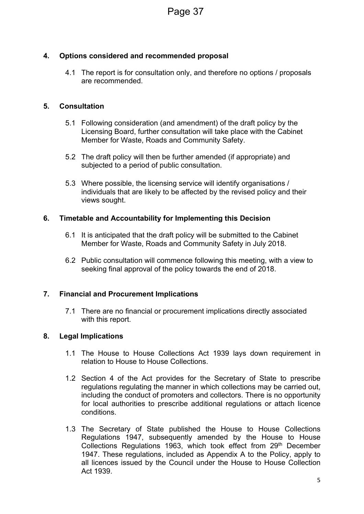## **4. Options considered and recommended proposal**

4.1 The report is for consultation only, and therefore no options / proposals are recommended.

#### **5. Consultation**

- 5.1 Following consideration (and amendment) of the draft policy by the Licensing Board, further consultation will take place with the Cabinet Member for Waste, Roads and Community Safety.
- 5.2 The draft policy will then be further amended (if appropriate) and subjected to a period of public consultation.
- 5.3 Where possible, the licensing service will identify organisations / individuals that are likely to be affected by the revised policy and their views sought.

#### **6. Timetable and Accountability for Implementing this Decision**

- 6.1 It is anticipated that the draft policy will be submitted to the Cabinet Member for Waste, Roads and Community Safety in July 2018.
- 6.2 Public consultation will commence following this meeting, with a view to seeking final approval of the policy towards the end of 2018.

#### **7. Financial and Procurement Implications**

7.1 There are no financial or procurement implications directly associated with this report.

#### **8. Legal Implications**

- 1.1 The House to House Collections Act 1939 lays down requirement in relation to House to House Collections.
- 1.2 Section 4 of the Act provides for the Secretary of State to prescribe regulations regulating the manner in which collections may be carried out, including the conduct of promoters and collectors. There is no opportunity for local authorities to prescribe additional regulations or attach licence conditions.
- 1.3 The Secretary of State published the House to House Collections Regulations 1947, subsequently amended by the House to House Collections Regulations 1963, which took effect from 29th December 1947. These regulations, included as Appendix A to the Policy, apply to all licences issued by the Council under the House to House Collection Act 1939.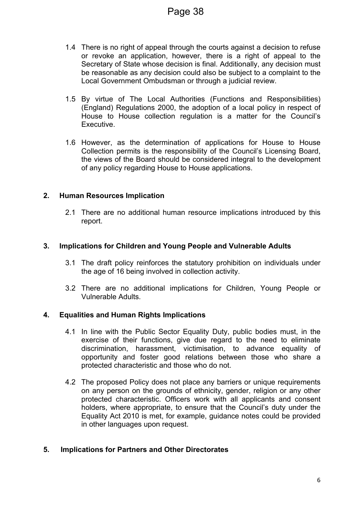- 1.4 There is no right of appeal through the courts against a decision to refuse or revoke an application, however, there is a right of appeal to the Secretary of State whose decision is final. Additionally, any decision must be reasonable as any decision could also be subject to a complaint to the Local Government Ombudsman or through a judicial review.
- 1.5 By virtue of The Local Authorities (Functions and Responsibilities) (England) Regulations 2000, the adoption of a local policy in respect of House to House collection regulation is a matter for the Council's Executive.
- 1.6 However, as the determination of applications for House to House Collection permits is the responsibility of the Council's Licensing Board, the views of the Board should be considered integral to the development of any policy regarding House to House applications.

#### **2. Human Resources Implication**

2.1 There are no additional human resource implications introduced by this report.

#### **3. Implications for Children and Young People and Vulnerable Adults**

- 3.1 The draft policy reinforces the statutory prohibition on individuals under the age of 16 being involved in collection activity.
- 3.2 There are no additional implications for Children, Young People or Vulnerable Adults.

#### **4. Equalities and Human Rights Implications**

- 4.1 In line with the Public Sector Equality Duty, public bodies must, in the exercise of their functions, give due regard to the need to eliminate discrimination, harassment, victimisation, to advance equality of opportunity and foster good relations between those who share a protected characteristic and those who do not.
- 4.2 The proposed Policy does not place any barriers or unique requirements on any person on the grounds of ethnicity, gender, religion or any other protected characteristic. Officers work with all applicants and consent holders, where appropriate, to ensure that the Council's duty under the Equality Act 2010 is met, for example, guidance notes could be provided in other languages upon request.

#### **5. Implications for Partners and Other Directorates**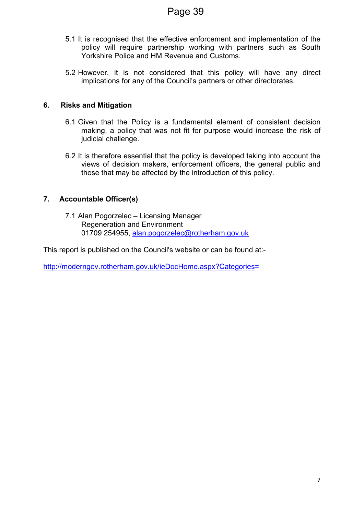- 5.1 It is recognised that the effective enforcement and implementation of the policy will require partnership working with partners such as South Yorkshire Police and HM Revenue and Customs.
- 5.2 However, it is not considered that this policy will have any direct implications for any of the Council's partners or other directorates.

#### **6. Risks and Mitigation**

- 6.1 Given that the Policy is a fundamental element of consistent decision making, a policy that was not fit for purpose would increase the risk of judicial challenge.
- 6.2 It is therefore essential that the policy is developed taking into account the views of decision makers, enforcement officers, the general public and those that may be affected by the introduction of this policy.

## **7. Accountable Officer(s)**

7.1 Alan Pogorzelec – Licensing Manager Regeneration and Environment 01709 254955, [alan.pogorzelec@rotherham.gov.uk](mailto:alan.pogorzelec@rotherham.gov.uk)

This report is published on the Council's website or can be found at:-

[http://moderngov.rotherham.gov.uk/ieDocHome.aspx?Categories=](http://moderngov.rotherham.gov.uk/ieDocHome.aspx?Categories)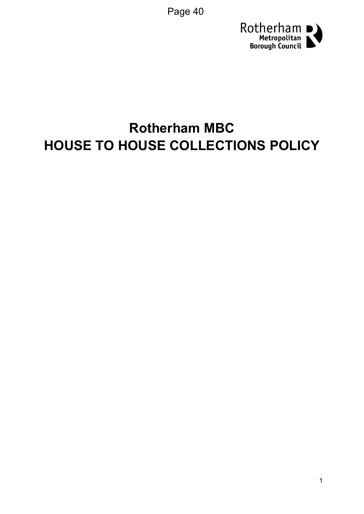Page 40



# **Rotherham MBC HOUSE TO HOUSE COLLECTIONS POLICY**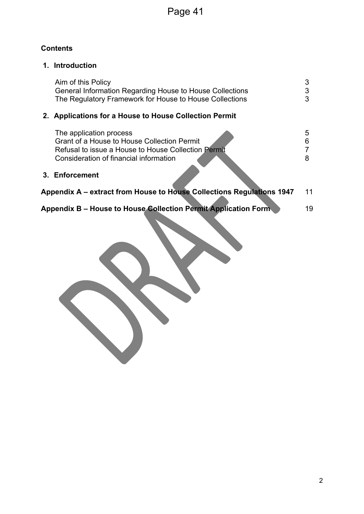## **Contents**

## **1. Introduction**

| Aim of this Policy<br>General Information Regarding House to House Collections<br>The Regulatory Framework for House to House Collections                               |             |
|-------------------------------------------------------------------------------------------------------------------------------------------------------------------------|-------------|
| 2. Applications for a House to House Collection Permit                                                                                                                  |             |
| The application process<br>Grant of a House to House Collection Permit<br>Refusal to issue a House to House Collection Permit<br>Consideration of financial information | 5<br>6<br>8 |
| 3. Enforcement                                                                                                                                                          |             |

| Appendix A – extract from House to House Collections Regulations 1947 |  |
|-----------------------------------------------------------------------|--|
|-----------------------------------------------------------------------|--|

**Appendix B – House to House Collection Permit Application Form** 19

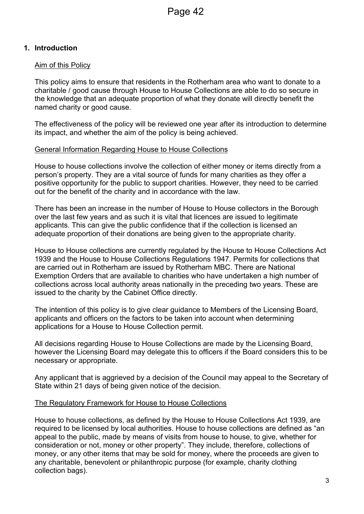#### **1. Introduction**

#### Aim of this Policy

This policy aims to ensure that residents in the Rotherham area who want to donate to a charitable / good cause through House to House Collections are able to do so secure in the knowledge that an adequate proportion of what they donate will directly benefit the named charity or good cause.

The effectiveness of the policy will be reviewed one year after its introduction to determine its impact, and whether the aim of the policy is being achieved.

#### General Information Regarding House to House Collections

House to house collections involve the collection of either money or items directly from a person's property. They are a vital source of funds for many charities as they offer a positive opportunity for the public to support charities. However, they need to be carried out for the benefit of the charity and in accordance with the law.

There has been an increase in the number of House to House collectors in the Borough over the last few years and as such it is vital that licences are issued to legitimate applicants. This can give the public confidence that if the collection is licensed an adequate proportion of their donations are being given to the appropriate charity.

House to House collections are currently regulated by the House to House Collections Act 1939 and the House to House Collections Regulations 1947. Permits for collections that are carried out in Rotherham are issued by Rotherham MBC. There are National Exemption Orders that are available to charities who have undertaken a high number of collections across local authority areas nationally in the preceding two years. These are issued to the charity by the Cabinet Office directly.

The intention of this policy is to give clear guidance to Members of the Licensing Board, applicants and officers on the factors to be taken into account when determining applications for a House to House Collection permit.

All decisions regarding House to House Collections are made by the Licensing Board, however the Licensing Board may delegate this to officers if the Board considers this to be necessary or appropriate.

Any applicant that is aggrieved by a decision of the Council may appeal to the Secretary of State within 21 days of being given notice of the decision.

#### The Regulatory Framework for House to House Collections

House to house collections, as defined by the House to House Collections Act 1939, are required to be licensed by local authorities. House to house collections are defined as "an appeal to the public, made by means of visits from house to house, to give, whether for consideration or not, money or other property". They include, therefore, collections of money, or any other items that may be sold for money, where the proceeds are given to any charitable, benevolent or philanthropic purpose (for example, charity clothing collection bags).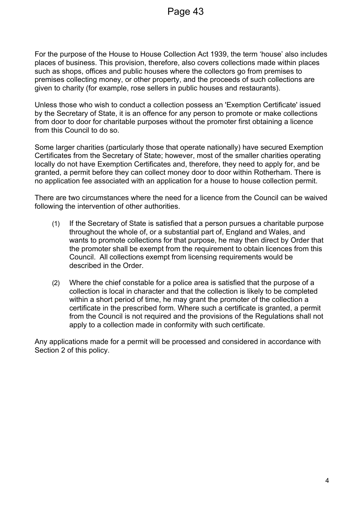For the purpose of the House to House Collection Act 1939, the term 'house' also includes places of business. This provision, therefore, also covers collections made within places such as shops, offices and public houses where the collectors go from premises to premises collecting money, or other property, and the proceeds of such collections are given to charity (for example, rose sellers in public houses and restaurants).

Unless those who wish to conduct a collection possess an 'Exemption Certificate' issued by the Secretary of State, it is an offence for any person to promote or make collections from door to door for charitable purposes without the promoter first obtaining a licence from this Council to do so.

Some larger charities (particularly those that operate nationally) have secured Exemption Certificates from the Secretary of State; however, most of the smaller charities operating locally do not have Exemption Certificates and, therefore, they need to apply for, and be granted, a permit before they can collect money door to door within Rotherham. There is no application fee associated with an application for a house to house collection permit.

There are two circumstances where the need for a licence from the Council can be waived following the intervention of other authorities.

- (1) If the Secretary of State is satisfied that a person pursues a charitable purpose throughout the whole of, or a substantial part of, England and Wales, and wants to promote collections for that purpose, he may then direct by Order that the promoter shall be exempt from the requirement to obtain licences from this Council. All collections exempt from licensing requirements would be described in the Order.
- (2) Where the chief constable for a police area is satisfied that the purpose of a collection is local in character and that the collection is likely to be completed within a short period of time, he may grant the promoter of the collection a certificate in the prescribed form. Where such a certificate is granted, a permit from the Council is not required and the provisions of the Regulations shall not apply to a collection made in conformity with such certificate.

Any applications made for a permit will be processed and considered in accordance with Section 2 of this policy.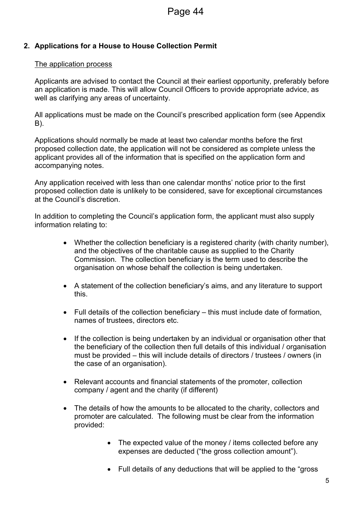## **2. Applications for a House to House Collection Permit**

#### The application process

Applicants are advised to contact the Council at their earliest opportunity, preferably before an application is made. This will allow Council Officers to provide appropriate advice, as well as clarifying any areas of uncertainty.

All applications must be made on the Council's prescribed application form (see Appendix B).

Applications should normally be made at least two calendar months before the first proposed collection date, the application will not be considered as complete unless the applicant provides all of the information that is specified on the application form and accompanying notes.

Any application received with less than one calendar months' notice prior to the first proposed collection date is unlikely to be considered, save for exceptional circumstances at the Council's discretion.

In addition to completing the Council's application form, the applicant must also supply information relating to:

- Whether the collection beneficiary is a registered charity (with charity number), and the objectives of the charitable cause as supplied to the Charity Commission. The collection beneficiary is the term used to describe the organisation on whose behalf the collection is being undertaken.
- A statement of the collection beneficiary's aims, and any literature to support this.
- Full details of the collection beneficiary this must include date of formation, names of trustees, directors etc.
- If the collection is being undertaken by an individual or organisation other that the beneficiary of the collection then full details of this individual / organisation must be provided – this will include details of directors / trustees / owners (in the case of an organisation).
- Relevant accounts and financial statements of the promoter, collection company / agent and the charity (if different)
- The details of how the amounts to be allocated to the charity, collectors and promoter are calculated. The following must be clear from the information provided:
	- The expected value of the money / items collected before any expenses are deducted ("the gross collection amount").
	- Full details of any deductions that will be applied to the "gross"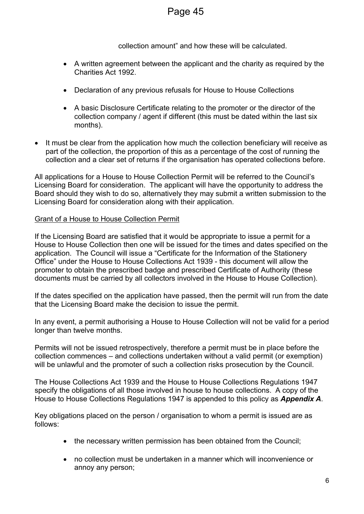collection amount" and how these will be calculated.

- A written agreement between the applicant and the charity as required by the Charities Act 1992.
- Declaration of any previous refusals for House to House Collections
- A basic Disclosure Certificate relating to the promoter or the director of the collection company / agent if different (this must be dated within the last six months).
- It must be clear from the application how much the collection beneficiary will receive as part of the collection, the proportion of this as a percentage of the cost of running the collection and a clear set of returns if the organisation has operated collections before.

All applications for a House to House Collection Permit will be referred to the Council's Licensing Board for consideration. The applicant will have the opportunity to address the Board should they wish to do so, alternatively they may submit a written submission to the Licensing Board for consideration along with their application.

#### Grant of a House to House Collection Permit

If the Licensing Board are satisfied that it would be appropriate to issue a permit for a House to House Collection then one will be issued for the times and dates specified on the application. The Council will issue a "Certificate for the Information of the Stationery Office" under the House to House Collections Act 1939 - this document will allow the promoter to obtain the prescribed badge and prescribed Certificate of Authority (these documents must be carried by all collectors involved in the House to House Collection).

If the dates specified on the application have passed, then the permit will run from the date that the Licensing Board make the decision to issue the permit.

In any event, a permit authorising a House to House Collection will not be valid for a period longer than twelve months.

Permits will not be issued retrospectively, therefore a permit must be in place before the collection commences – and collections undertaken without a valid permit (or exemption) will be unlawful and the promoter of such a collection risks prosecution by the Council.

The House Collections Act 1939 and the House to House Collections Regulations 1947 specify the obligations of all those involved in house to house collections. A copy of the House to House Collections Regulations 1947 is appended to this policy as *Appendix A*.

Key obligations placed on the person / organisation to whom a permit is issued are as follows:

- the necessary written permission has been obtained from the Council:
- no collection must be undertaken in a manner which will inconvenience or annoy any person;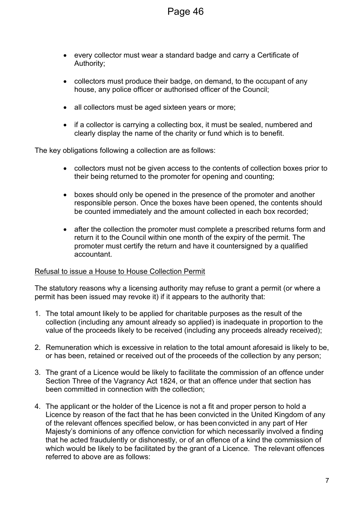- every collector must wear a standard badge and carry a Certificate of Authority;
- collectors must produce their badge, on demand, to the occupant of any house, any police officer or authorised officer of the Council;
- all collectors must be aged sixteen years or more;
- if a collector is carrying a collecting box, it must be sealed, numbered and clearly display the name of the charity or fund which is to benefit.

The key obligations following a collection are as follows:

- collectors must not be given access to the contents of collection boxes prior to their being returned to the promoter for opening and counting;
- boxes should only be opened in the presence of the promoter and another responsible person. Once the boxes have been opened, the contents should be counted immediately and the amount collected in each box recorded;
- after the collection the promoter must complete a prescribed returns form and return it to the Council within one month of the expiry of the permit. The promoter must certify the return and have it countersigned by a qualified accountant.

#### Refusal to issue a House to House Collection Permit

The statutory reasons why a licensing authority may refuse to grant a permit (or where a permit has been issued may revoke it) if it appears to the authority that:

- 1. The total amount likely to be applied for charitable purposes as the result of the collection (including any amount already so applied) is inadequate in proportion to the value of the proceeds likely to be received (including any proceeds already received);
- 2. Remuneration which is excessive in relation to the total amount aforesaid is likely to be, or has been, retained or received out of the proceeds of the collection by any person;
- 3. The grant of a Licence would be likely to facilitate the commission of an offence under Section Three of the Vagrancy Act 1824, or that an offence under that section has been committed in connection with the collection;
- 4. The applicant or the holder of the Licence is not a fit and proper person to hold a Licence by reason of the fact that he has been convicted in the United Kingdom of any of the relevant offences specified below, or has been convicted in any part of Her Majesty's dominions of any offence conviction for which necessarily involved a finding that he acted fraudulently or dishonestly, or of an offence of a kind the commission of which would be likely to be facilitated by the grant of a Licence. The relevant offences referred to above are as follows: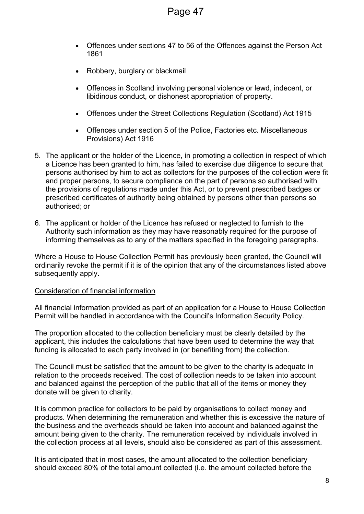- Offences under sections 47 to 56 of the Offences against the Person Act 1861
- Robbery, burglary or blackmail
- Offences in Scotland involving personal violence or lewd, indecent, or libidinous conduct, or dishonest appropriation of property.
- Offences under the Street Collections Regulation (Scotland) Act 1915
- Offences under section 5 of the Police, Factories etc. Miscellaneous Provisions) Act 1916
- 5. The applicant or the holder of the Licence, in promoting a collection in respect of which a Licence has been granted to him, has failed to exercise due diligence to secure that persons authorised by him to act as collectors for the purposes of the collection were fit and proper persons, to secure compliance on the part of persons so authorised with the provisions of regulations made under this Act, or to prevent prescribed badges or prescribed certificates of authority being obtained by persons other than persons so authorised; or
- 6. The applicant or holder of the Licence has refused or neglected to furnish to the Authority such information as they may have reasonably required for the purpose of informing themselves as to any of the matters specified in the foregoing paragraphs.

Where a House to House Collection Permit has previously been granted, the Council will ordinarily revoke the permit if it is of the opinion that any of the circumstances listed above subsequently apply.

#### Consideration of financial information

All financial information provided as part of an application for a House to House Collection Permit will be handled in accordance with the Council's Information Security Policy.

The proportion allocated to the collection beneficiary must be clearly detailed by the applicant, this includes the calculations that have been used to determine the way that funding is allocated to each party involved in (or benefiting from) the collection.

The Council must be satisfied that the amount to be given to the charity is adequate in relation to the proceeds received. The cost of collection needs to be taken into account and balanced against the perception of the public that all of the items or money they donate will be given to charity.

It is common practice for collectors to be paid by organisations to collect money and products. When determining the remuneration and whether this is excessive the nature of the business and the overheads should be taken into account and balanced against the amount being given to the charity. The remuneration received by individuals involved in the collection process at all levels, should also be considered as part of this assessment.

It is anticipated that in most cases, the amount allocated to the collection beneficiary should exceed 80% of the total amount collected (i.e. the amount collected before the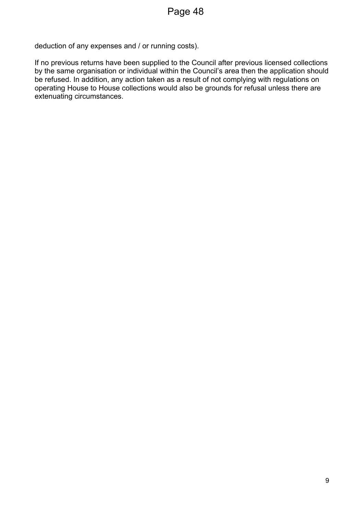deduction of any expenses and / or running costs).

If no previous returns have been supplied to the Council after previous licensed collections by the same organisation or individual within the Council's area then the application should be refused. In addition, any action taken as a result of not complying with regulations on operating House to House collections would also be grounds for refusal unless there are extenuating circumstances.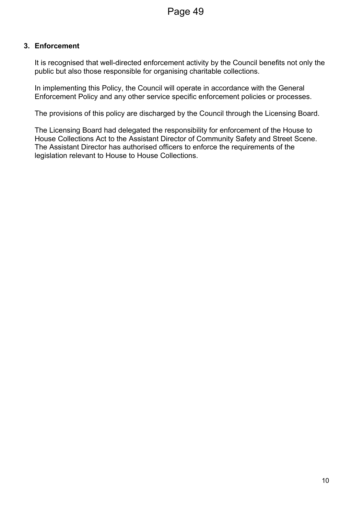#### **3. Enforcement**

It is recognised that well-directed enforcement activity by the Council benefits not only the public but also those responsible for organising charitable collections.

In implementing this Policy, the Council will operate in accordance with the General Enforcement Policy and any other service specific enforcement policies or processes.

The provisions of this policy are discharged by the Council through the Licensing Board.

The Licensing Board had delegated the responsibility for enforcement of the House to House Collections Act to the Assistant Director of Community Safety and Street Scene. The Assistant Director has authorised officers to enforce the requirements of the legislation relevant to House to House Collections.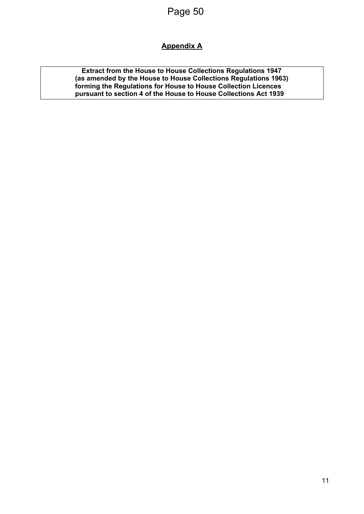## **Appendix A**

**Extract from the House to House Collections Regulations 1947 (as amended by the House to House Collections Regulations 1963) forming the Regulations for House to House Collection Licences pursuant to section 4 of the House to House Collections Act 1939**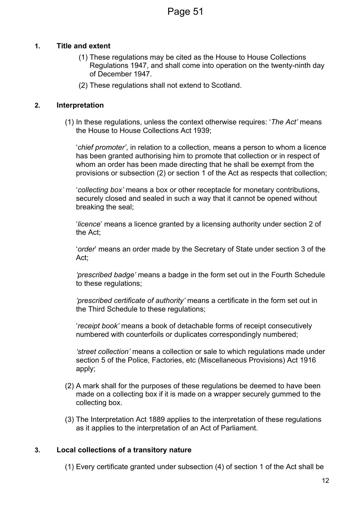#### **1. Title and extent**

- (1) These regulations may be cited as the House to House Collections Regulations 1947, and shall come into operation on the twenty-ninth day of December 1947.
- (2) These regulations shall not extend to Scotland.

#### **2. Interpretation**

(1) In these regulations, unless the context otherwise requires: '*The Act'* means the House to House Collections Act 1939;

'*chief promoter'*, in relation to a collection, means a person to whom a licence has been granted authorising him to promote that collection or in respect of whom an order has been made directing that he shall be exempt from the provisions or subsection (2) or section 1 of the Act as respects that collection;

'*collecting box'* means a box or other receptacle for monetary contributions, securely closed and sealed in such a way that it cannot be opened without breaking the seal;

'*licence*' means a licence granted by a licensing authority under section 2 of the Act;

'*order*' means an order made by the Secretary of State under section 3 of the Act;

*'prescribed badge'* means a badge in the form set out in the Fourth Schedule to these regulations;

*'prescribed certificate of authority'* means a certificate in the form set out in the Third Schedule to these regulations;

'*receipt book'* means a book of detachable forms of receipt consecutively numbered with counterfoils or duplicates correspondingly numbered;

*'street collection'* means a collection or sale to which regulations made under section 5 of the Police, Factories, etc (Miscellaneous Provisions) Act 1916 apply;

- (2) A mark shall for the purposes of these regulations be deemed to have been made on a collecting box if it is made on a wrapper securely gummed to the collecting box.
- (3) The Interpretation Act 1889 applies to the interpretation of these regulations as it applies to the interpretation of an Act of Parliament.

## **3. Local collections of a transitory nature**

(1) Every certificate granted under subsection (4) of section 1 of the Act shall be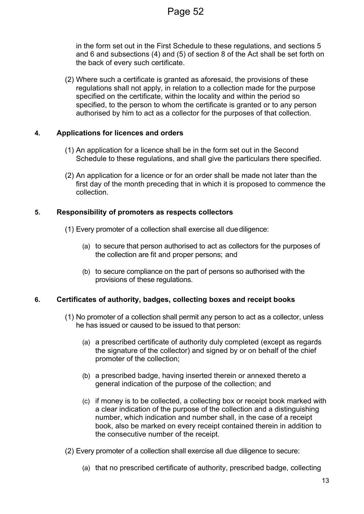in the form set out in the First Schedule to these regulations, and sections 5 and 6 and subsections (4) and (5) of section 8 of the Act shall be set forth on the back of every such certificate.

(2) Where such a certificate is granted as aforesaid, the provisions of these regulations shall not apply, in relation to a collection made for the purpose specified on the certificate, within the locality and within the period so specified, to the person to whom the certificate is granted or to any person authorised by him to act as a collector for the purposes of that collection.

#### **4. Applications for licences and orders**

- (1) An application for a licence shall be in the form set out in the Second Schedule to these regulations, and shall give the particulars there specified.
- (2) An application for a licence or for an order shall be made not later than the first day of the month preceding that in which it is proposed to commence the collection.

#### **5. Responsibility of promoters as respects collectors**

- (1) Every promoter of a collection shall exercise all duediligence:
	- (a) to secure that person authorised to act as collectors for the purposes of the collection are fit and proper persons; and
	- (b) to secure compliance on the part of persons so authorised with the provisions of these regulations.

#### **6. Certificates of authority, badges, collecting boxes and receipt books**

- (1) No promoter of a collection shall permit any person to act as a collector, unless he has issued or caused to be issued to that person:
	- (a) a prescribed certificate of authority duly completed (except as regards the signature of the collector) and signed by or on behalf of the chief promoter of the collection;
	- (b) a prescribed badge, having inserted therein or annexed thereto a general indication of the purpose of the collection; and
	- (c) if money is to be collected, a collecting box or receipt book marked with a clear indication of the purpose of the collection and a distinguishing number, which indication and number shall, in the case of a receipt book, also be marked on every receipt contained therein in addition to the consecutive number of the receipt.
- (2) Every promoter of a collection shall exercise all due diligence to secure:
	- (a) that no prescribed certificate of authority, prescribed badge, collecting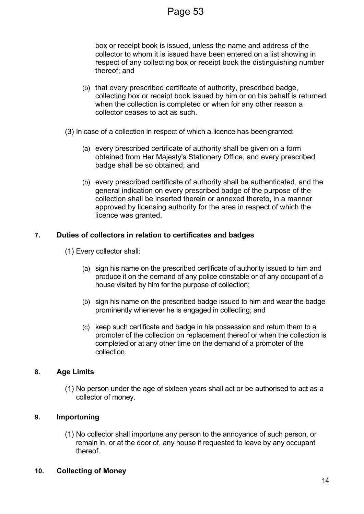box or receipt book is issued, unless the name and address of the collector to whom it is issued have been entered on a list showing in respect of any collecting box or receipt book the distinguishing number thereof; and

- (b) that every prescribed certificate of authority, prescribed badge, collecting box or receipt book issued by him or on his behalf is returned when the collection is completed or when for any other reason a collector ceases to act as such.
- (3) In case of a collection in respect of which a licence has beengranted:
	- (a) every prescribed certificate of authority shall be given on a form obtained from Her Majesty's Stationery Office, and every prescribed badge shall be so obtained; and
	- (b) every prescribed certificate of authority shall be authenticated, and the general indication on every prescribed badge of the purpose of the collection shall be inserted therein or annexed thereto, in a manner approved by licensing authority for the area in respect of which the licence was granted.

#### **7. Duties of collectors in relation to certificates and badges**

- (1) Every collector shall:
	- (a) sign his name on the prescribed certificate of authority issued to him and produce it on the demand of any police constable or of any occupant of a house visited by him for the purpose of collection;
	- (b) sign his name on the prescribed badge issued to him and wear the badge prominently whenever he is engaged in collecting; and
	- (c) keep such certificate and badge in his possession and return them to a promoter of the collection on replacement thereof or when the collection is completed or at any other time on the demand of a promoter of the collection.

#### **8. Age Limits**

(1) No person under the age of sixteen years shall act or be authorised to act as a collector of money.

#### **9. Importuning**

(1) No collector shall importune any person to the annoyance of such person, or remain in, or at the door of, any house if requested to leave by any occupant thereof.

#### **10. Collecting of Money**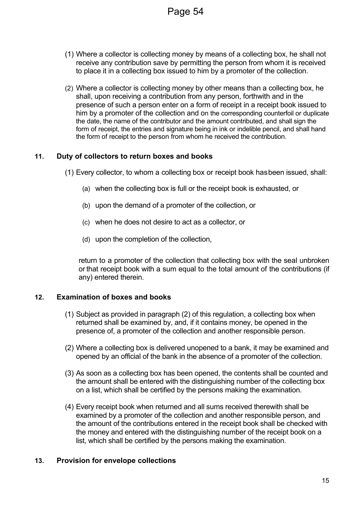- (1) Where a collector is collecting money by means of a collecting box, he shall not receive any contribution save by permitting the person from whom it is received to place it in a collecting box issued to him by a promoter of the collection.
- (2) Where a collector is collecting money by other means than a collecting box, he shall, upon receiving a contribution from any person, forthwith and in the presence of such a person enter on a form of receipt in a receipt book issued to him by a promoter of the collection and on the corresponding counterfoil or duplicate the date, the name of the contributor and the amount contributed, and shall sign the form of receipt, the entries and signature being in ink or indelible pencil, and shall hand the form of receipt to the person from whom he received the contribution.

#### **11. Duty of collectors to return boxes and books**

(1) Every collector, to whom a collecting box or receipt book hasbeen issued, shall:

- (a) when the collecting box is full or the receipt book is exhausted, or
- (b) upon the demand of a promoter of the collection, or
- (c) when he does not desire to act as a collector, or
- (d) upon the completion of the collection,

return to a promoter of the collection that collecting box with the seal unbroken orthat receipt book with a sum equal to the total amount of the contributions (if any) entered therein.

#### **12. Examination of boxes and books**

- (1) Subject as provided in paragraph (2) of this regulation, a collecting box when returned shall be examined by, and, if it contains money, be opened in the presence of, a promoter of the collection and another responsible person.
- (2) Where a collecting box is delivered unopened to a bank, it may be examined and opened by an official of the bank in the absence of a promoter of the collection.
- (3) As soon as a collecting box has been opened, the contents shall be counted and the amount shall be entered with the distinguishing number of the collecting box on a list, which shall be certified by the persons making the examination.
- (4) Every receipt book when returned and all sums received therewith shall be examined by a promoter of the collection and another responsible person, and the amount of the contributions entered in the receipt book shall be checked with the money and entered with the distinguishing number of the receipt book on a list, which shall be certified by the persons making the examination.

#### **13. Provision for envelope collections**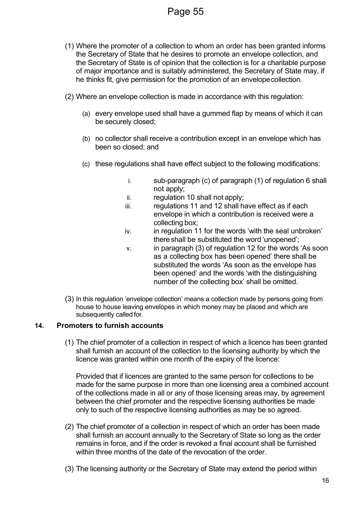- (1) Where the promoter of a collection to whom an order has been granted informs the Secretary of State that he desires to promote an envelope collection, and the Secretary of State is of opinion that the collection is for a charitable purpose of major importance and is suitably administered, the Secretary of State may, if he thinks fit, give permission for the promotion of an envelopecollection.
- (2) Where an envelope collection is made in accordance with this regulation:
	- (a) every envelope used shall have a gummed flap by means of which it can be securely closed;
	- (b) no collector shall receive a contribution except in an envelope which has been so closed; and
	- (c) these regulations shall have effect subject to the following modifications:
		- i. sub-paragraph (c) of paragraph (1) of regulation 6 shall not apply;
		- ii. regulation 10 shall not apply;
		- iii. regulations 11 and 12 shall have effect as if each envelope in which a contribution is received were a collecting box;
		- iv. in regulation 11 for the words 'with the seal unbroken' thereshall be substituted the word 'unopened';
		- v. in paragraph (3) of regulation 12 for the words 'As soon as a collecting box has been opened' there shall be substituted the words 'As soon as the envelope has been opened' and the words 'with the distinguishing number of the collecting box' shall be omitted.
- (3) In this regulation 'envelope collection' means a collection made by persons going from house to house leaving envelopes in which money may be placed and which are subsequently called for.

#### **14. Promoters to furnish accounts**

(1) The chief promoter of a collection in respect of which a licence has been granted shall furnish an account of the collection to the licensing authority by which the licence was granted within one month of the expiry of the licence:

Provided that if licences are granted to the same person for collections to be made for the same purpose in more than one licensing area a combined account of the collections made in all or any of those licensing areas may, by agreement between the chief promoter and the respective licensing authorities be made only to such of the respective licensing authorities as may be so agreed.

- (2) The chief promoter of a collection in respect of which an order has been made shall furnish an account annually to the Secretary of State so long as the order remains in force, and if the order is revoked a final account shall be furnished within three months of the date of the revocation of the order.
- (3) The licensing authority or the Secretary of State may extend the period within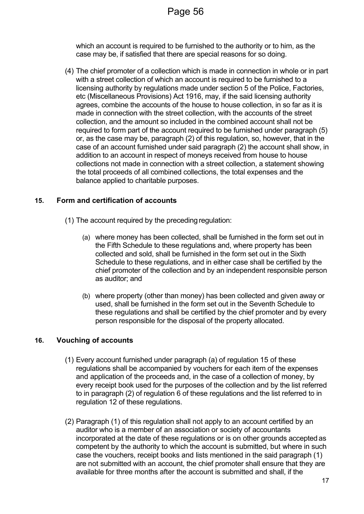which an account is required to be furnished to the authority or to him, as the case may be, if satisfied that there are special reasons for so doing.

(4) The chief promoter of a collection which is made in connection in whole or in part with a street collection of which an account is required to be furnished to a licensing authority by regulations made under section 5 of the Police, Factories, etc (Miscellaneous Provisions) Act 1916, may, if the said licensing authority agrees, combine the accounts of the house to house collection, in so far as it is made in connection with the street collection, with the accounts of the street collection, and the amount so included in the combined account shall not be required to form part of the account required to be furnished under paragraph (5) or, as the case may be, paragraph (2) of this regulation, so, however, that in the case of an account furnished under said paragraph (2) the account shall show, in addition to an account in respect of moneys received from house to house collections not made in connection with a street collection, a statement showing the total proceeds of all combined collections, the total expenses and the balance applied to charitable purposes.

#### **15. Form and certification of accounts**

- (1) The account required by the preceding regulation:
	- (a) where money has been collected, shall be furnished in the form set out in the Fifth Schedule to these regulations and, where property has been collected and sold, shall be furnished in the form set out in the Sixth Schedule to these regulations, and in either case shall be certified by the chief promoter of the collection and by an independent responsible person as auditor; and
	- (b) where property (other than money) has been collected and given away or used, shall be furnished in the form set out in the Seventh Schedule to these regulations and shall be certified by the chief promoter and by every person responsible for the disposal of the property allocated.

#### **16. Vouching of accounts**

- (1) Every account furnished under paragraph (a) of regulation 15 of these regulations shall be accompanied by vouchers for each item of the expenses and application of the proceeds and, in the case of a collection of money, by every receipt book used for the purposes of the collection and by the list referred to in paragraph (2) of regulation 6 of these regulations and the list referred to in regulation 12 of these regulations.
- (2) Paragraph (1) of this regulation shall not apply to an account certified by an auditor who is a member of an association or society of accountants incorporated at the date of these regulations or is on other grounds accepted as competent by the authority to which the account is submitted, but where in such case the vouchers, receipt books and lists mentioned in the said paragraph (1) are not submitted with an account, the chief promoter shall ensure that they are available for three months after the account is submitted and shall, if the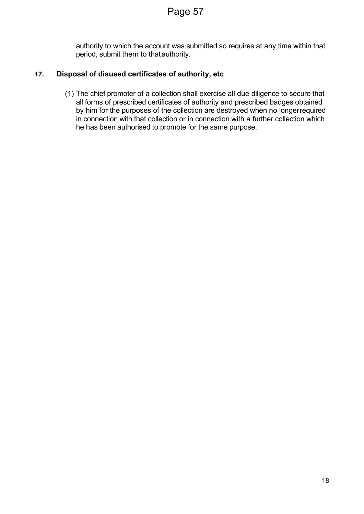authority to which the account was submitted so requires at any time within that period, submit them to thatauthority.

## **17. Disposal of disused certificates of authority, etc**

(1) The chief promoter of a collection shall exercise all due diligence to secure that all forms of prescribed certificates of authority and prescribed badges obtained by him for the purposes of the collection are destroyed when no longerrequired in connection with that collection or in connection with a further collection which he has been authorised to promote for the same purpose.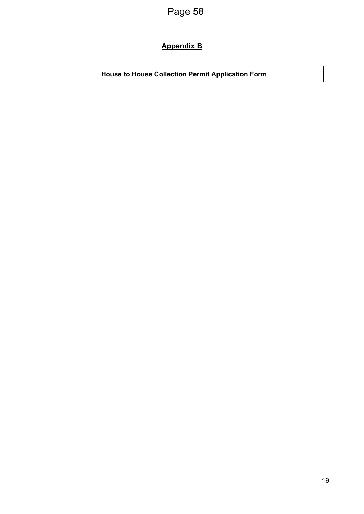## **Appendix B**

**House to House Collection Permit Application Form**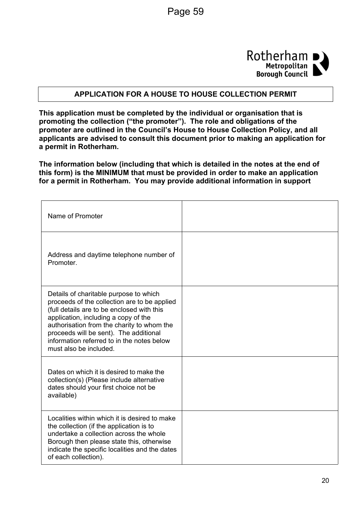

#### **APPLICATION FOR A HOUSE TO HOUSE COLLECTION PERMIT**

**This application must be completed by the individual or organisation that is promoting the collection ("the promoter"). The role and obligations of the promoter are outlined in the Council's House to House Collection Policy, and all applicants are advised to consult this document prior to making an application for a permit in Rotherham.**

**The information below (including that which is detailed in the notes at the end of this form) is the MINIMUM that must be provided in order to make an application for a permit in Rotherham. You may provide additional information in support**

| Name of Promoter                                                                                                                                                                                                                                                                                                                             |  |
|----------------------------------------------------------------------------------------------------------------------------------------------------------------------------------------------------------------------------------------------------------------------------------------------------------------------------------------------|--|
| Address and daytime telephone number of<br>Promoter.                                                                                                                                                                                                                                                                                         |  |
| Details of charitable purpose to which<br>proceeds of the collection are to be applied<br>(full details are to be enclosed with this<br>application, including a copy of the<br>authorisation from the charity to whom the<br>proceeds will be sent). The additional<br>information referred to in the notes below<br>must also be included. |  |
| Dates on which it is desired to make the<br>collection(s) (Please include alternative<br>dates should your first choice not be<br>available)                                                                                                                                                                                                 |  |
| Localities within which it is desired to make<br>the collection (if the application is to<br>undertake a collection across the whole<br>Borough then please state this, otherwise<br>indicate the specific localities and the dates<br>of each collection).                                                                                  |  |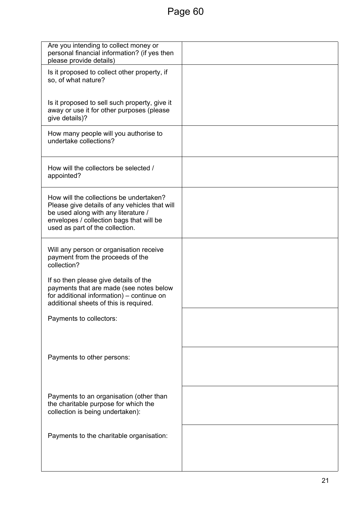| Are you intending to collect money or<br>personal financial information? (if yes then<br>please provide details)                                                                                               |  |
|----------------------------------------------------------------------------------------------------------------------------------------------------------------------------------------------------------------|--|
| Is it proposed to collect other property, if<br>so, of what nature?                                                                                                                                            |  |
| Is it proposed to sell such property, give it<br>away or use it for other purposes (please<br>give details)?                                                                                                   |  |
| How many people will you authorise to<br>undertake collections?                                                                                                                                                |  |
| How will the collectors be selected /<br>appointed?                                                                                                                                                            |  |
| How will the collections be undertaken?<br>Please give details of any vehicles that will<br>be used along with any literature /<br>envelopes / collection bags that will be<br>used as part of the collection. |  |
| Will any person or organisation receive<br>payment from the proceeds of the<br>collection?                                                                                                                     |  |
| If so then please give details of the<br>payments that are made (see notes below<br>for additional information) – continue on<br>additional sheets of this is required.                                        |  |
| Payments to collectors:                                                                                                                                                                                        |  |
| Payments to other persons:                                                                                                                                                                                     |  |
| Payments to an organisation (other than<br>the charitable purpose for which the<br>collection is being undertaken):                                                                                            |  |
| Payments to the charitable organisation:                                                                                                                                                                       |  |
|                                                                                                                                                                                                                |  |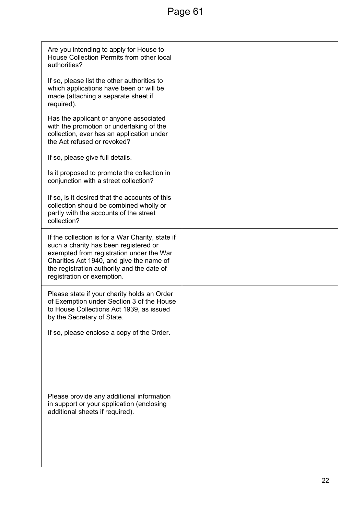# Page 61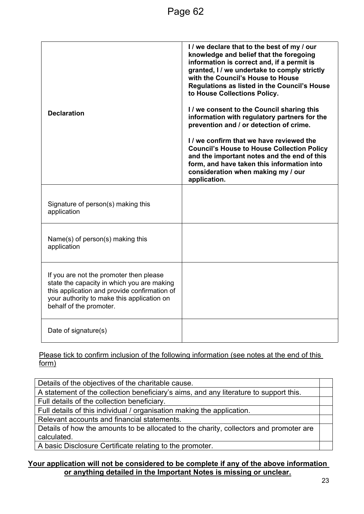| <b>Declaration</b>                                                                                                                                                                                             | I / we declare that to the best of my / our<br>knowledge and belief that the foregoing<br>information is correct and, if a permit is<br>granted, I / we undertake to comply strictly<br>with the Council's House to House<br>Regulations as listed in the Council's House<br>to House Collections Policy.<br>I / we consent to the Council sharing this<br>information with regulatory partners for the<br>prevention and / or detection of crime.<br>I / we confirm that we have reviewed the<br><b>Council's House to House Collection Policy</b><br>and the important notes and the end of this<br>form, and have taken this information into<br>consideration when making my / our<br>application. |
|----------------------------------------------------------------------------------------------------------------------------------------------------------------------------------------------------------------|--------------------------------------------------------------------------------------------------------------------------------------------------------------------------------------------------------------------------------------------------------------------------------------------------------------------------------------------------------------------------------------------------------------------------------------------------------------------------------------------------------------------------------------------------------------------------------------------------------------------------------------------------------------------------------------------------------|
| Signature of person(s) making this<br>application                                                                                                                                                              |                                                                                                                                                                                                                                                                                                                                                                                                                                                                                                                                                                                                                                                                                                        |
| Name(s) of person(s) making this<br>application                                                                                                                                                                |                                                                                                                                                                                                                                                                                                                                                                                                                                                                                                                                                                                                                                                                                                        |
| If you are not the promoter then please<br>state the capacity in which you are making<br>this application and provide confirmation of<br>your authority to make this application on<br>behalf of the promoter. |                                                                                                                                                                                                                                                                                                                                                                                                                                                                                                                                                                                                                                                                                                        |
| Date of signature(s)                                                                                                                                                                                           |                                                                                                                                                                                                                                                                                                                                                                                                                                                                                                                                                                                                                                                                                                        |

Please tick to confirm inclusion of the following information (see notes at the end of this form)

Details of the objectives of the charitable cause. A statement of the collection beneficiary's aims, and any literature to support this. Full details of the collection beneficiary. Full details of this individual / organisation making the application. Relevant accounts and financial statements. Details of how the amounts to be allocated to the charity, collectors and promoter are calculated.

A basic Disclosure Certificate relating to the promoter.

#### **Your application will not be considered to be complete if any of the above information or anything detailed in the Important Notes is missing or unclear.**